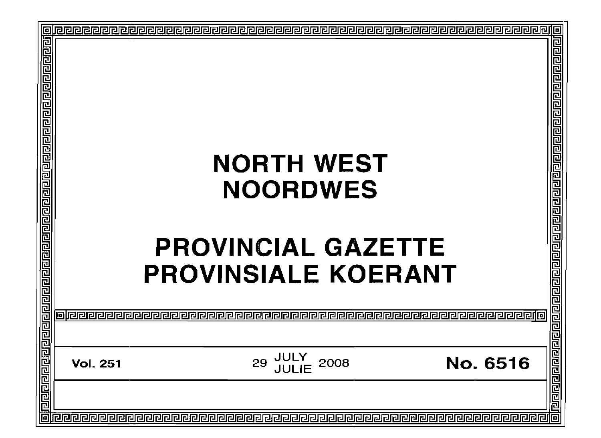| 回 |  |  |
|---|--|--|
|   |  |  |
|   |  |  |
|   |  |  |
|   |  |  |
|   |  |  |
|   |  |  |
|   |  |  |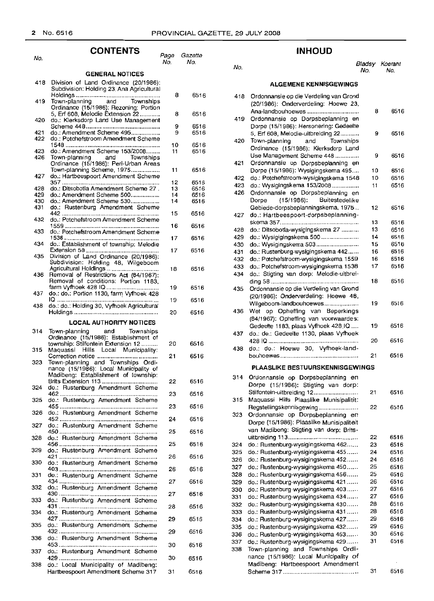6516

6516 6516 6516

6516 6516

6516

6516

6516

6516

No.

| No.        | <b>CONTENTS</b>                                                                                                                               | Page<br>No. | Gazette<br>No. |
|------------|-----------------------------------------------------------------------------------------------------------------------------------------------|-------------|----------------|
|            |                                                                                                                                               |             |                |
| 418        | <b>GENERAL NOTICES</b><br>Division of Land Ordinance (20/1986):<br>Subdivision: Holding 23, Ana Agricultural                                  |             |                |
| 419        | Town-planning and Townships<br>Ordinance (15/1986): Rezoning: Portion                                                                         | 8           | 6516           |
| 420        | 5, Erf 608, Melodie Extension 22<br>do.: Klerksdorp Land Use Management                                                                       | 8           | 6516           |
| 421<br>422 | do.: Amendment Scheme 495<br>do.: Potchefstroom Amendment Scheme                                                                              | 9<br>9      | 6516<br>6516   |
| 423        | do.: Amendment Scheme 153/2008                                                                                                                | 10<br>11    | 6516<br>6516   |
| 426        | Town-planning and Townships<br>Ordinance (15/1986): Peri-Urban Areas<br>Town-planning Scheme, 1975                                            | 11          | 6516           |
| 427        | do.: Hartbeespoort Amendment Scheme                                                                                                           | 12          | 6516           |
| 428        | do.: Ditsobotla Amendment Scheme 27.                                                                                                          | 13          | 6516           |
| 429<br>430 | do.: Amendment Scheme 500<br>do.: Amendment Scheme 530                                                                                        | 14<br>14    | 6516<br>6516   |
| 431        | do.: Rustenburg Amendment Scheme                                                                                                              | 15          | 6516           |
| 432<br>433 | do.: Potchefstroom Amendment Scheme<br>do.: Potchefstroom Amendment Scheme                                                                    | 16          | 6516           |
| 434        | do.: Establishment of township: Melodie                                                                                                       | 17          | 6516           |
| 435        | Division of Land Ordinance (20/1986):                                                                                                         | 17          | 6516           |
| 436        | Subdivision: Holding 48, Wilgeboom<br>Agricultural Holdings<br>Removal of Restrictions Act (84/1967);<br>Removal of conditions: Portion 1183, | 18          | 6516           |
| 437        | farm Vyfhoek 428 IQ<br>do.: do.: Portion 1130, farm Vyfhoek 428                                                                               | 19          | 6516           |
| 438        | IQ<br>do.: do.: Holding 30, Vyfhoek Agricultural                                                                                              | 19          | 6516           |
|            |                                                                                                                                               | 20          | 6516           |
|            | <b>LOCAL AUTHORITY NOTICES</b>                                                                                                                |             |                |
| 314        | Town-planning and Townships<br>Ordinance (15/1986): Establishment of                                                                          |             |                |
| 315        | township: Stilfontein Extension 12<br>Maquassi Hills Local Municipality:                                                                      | 20<br>21    | 6516<br>6516   |
| 323        | Town-planning and Townships Ordi-<br>nance (15/1986): Local Municipality of<br>Madibeng: Establishment of township:                           |             |                |
| 324        | do.: Rustenburg Amendment Scheme                                                                                                              | 22          | 6516           |
| 325        | do.: Rustenburg Amendment Scheme                                                                                                              | 23          | 6516<br>6516   |
| 326        | do.: Rustenburg Amendment Scheme                                                                                                              | 23<br>24    | 6516           |
| 327        | do.: Rustenburg Amendment Scheme                                                                                                              | 25          | 6516           |
| 328        | do.: Rustenburg Amendment Scheme                                                                                                              | 25          | 6516           |
| 329<br>330 | do.: Rustenburg Amendment Scheme                                                                                                              | 26          | 6516           |
| 331        | do.: Rustenburg Amendment Scheme<br>do.: Rustenburg Amendment Scheme                                                                          | 26          | 6516           |
| 332        | do.: Rustenburg Amendment Scheme                                                                                                              | 27          | 6516           |
| 333        | do.: Rustenburg Amendment Scheme                                                                                                              | 27          | 6516           |
| 334        | do.: Rustenburg Amendment Scheme                                                                                                              | 28          | 6516           |
| 335        | do.: Rustenburg Amendment Scheme                                                                                                              | 29<br>29    | 6516<br>6516   |
| 336        | do.: Rustenburg Amendment Scheme                                                                                                              | 30          | 6516           |
| 337        | do.: Rustenburg Amendment Scheme<br>429                                                                                                       | 30          | 6516           |
| 338        | do.: Local Municipality of Madibeng:<br>Hartbeespoort Amendment Scheme 317                                                                    | 31          | 6516           |

Hartbeespoort Amendment Scheme 317

# **INHOUD**

#### Bladsy Koerant<br>No. No. No. No.

## **ALGEMENE KENNISGEWINGS**

| 418 | Ordonnansie op die Verdeling van Grond<br>(20/1986): Onderverdeling: Hoewe 23, |    |      |
|-----|--------------------------------------------------------------------------------|----|------|
|     | Ana-landbouhoewes                                                              | 8  | 6516 |
|     |                                                                                |    |      |
| 419 | Ordonnansie op Dorpsbeplanning en                                              |    |      |
|     | Dorpe (15/1986): Hersonering: Gedeelte                                         |    |      |
|     | 5, Erf 608, Melodie-uitbreiding 22                                             | 9  | 6516 |
| 420 | and Townships<br>Town-planning                                                 |    |      |
|     | Ordinance (15/1986): Klerksdorp Land                                           |    |      |
|     | Use Management Scheme 448                                                      | 9  | 6516 |
| 421 | Ordonnansie op Dorpsbeplanning en                                              |    |      |
|     | Dorpe (15/1986): Wysigingskema 495                                             | 10 | 6516 |
| 422 | do.: Potchefstroom-wysigingskema 1548                                          | 10 | 6516 |
| 423 | do.: Wysigingskema 153/2008                                                    | 11 | 6516 |
| 426 | Ordonnansie op Dorpsbeplanning en                                              |    |      |
|     | (15/1986): Buitestedelike<br>Dorpe                                             |    |      |
|     | Gebiede-dorpsbeplanningskema, 1975                                             | 12 | 6516 |
| 427 | do.: Hartbeespoort-dorpsbeplanning-                                            |    |      |
|     |                                                                                | 13 | 6516 |
| 428 | do.: Ditsobotla-wysigingskema 27                                               | 13 | 6516 |
| 429 | do.: Wysigigingskema 500                                                       | 14 | 6516 |
| 430 | do.: Wysigingskema 503                                                         | 15 | 6516 |
| 431 | do.: Rustenburg-wysigingskema 442                                              | 16 | 6516 |
| 432 | do.: Potchefstroom-wysigingskema 1559                                          | 16 | 6516 |
|     | do.: Potchefstroom-wysigingskema 1538                                          | 17 | 6516 |
| 433 |                                                                                |    |      |
| 434 | do.: Stigting van dorp: Melodie-uitbrei-                                       |    |      |
|     |                                                                                | 18 | 6516 |
| 435 | Ordonnansie op die Verdeling van Grond                                         |    |      |
|     | (20/1986): Onderverdeling: Hoewe 4B,                                           |    |      |
|     | Wilgeboom-landbouhoewes                                                        | 19 | 6516 |
| 436 | op Opheffing van Beperkings<br>Wet                                             |    |      |
|     | (84/1967): Opheffing van voorwaardes:                                          |    |      |
|     | Gedeelte 1183, plaas Vyfhoek 428 IQ                                            | 19 | 6516 |
| 437 | do.: do.: Gedeelte 1130, plaas Vyfhoek                                         |    |      |
|     |                                                                                | 20 | 6516 |
| 438 | do.: do.: Hoewe 30, Vyfhoek-land-                                              |    |      |
|     |                                                                                | 21 | 6516 |
|     | <b>PLAASLIKE BESTUURSKENNISGEWINGS</b>                                         |    |      |
|     |                                                                                |    |      |
| 314 | Ordonnansie op Dorpsbeplanning en                                              |    |      |
|     | Dorpe (15/1986): Stigting van dorp:                                            |    |      |
|     | Stilfontein-uitbreiding 12                                                     | 21 | 6516 |
| 315 | Maquassi Hills Plaaslike Munisipalitit:                                        |    |      |
|     | Regstellingskennisgewing                                                       | 22 | 6516 |
| 323 | Ordonnansie op Dorpsbeplanning en                                              |    |      |
|     | Dorpe (15/1986): Plaaslike Munisipaliteit                                      |    |      |
|     | van Madibeng: Stigting van dorp: Brits-                                        |    |      |
|     |                                                                                | 22 | 6516 |
| 324 | do.: Rustenburg-wysigingskema 462                                              | 23 | 6516 |
| 325 | do.: Rustenburg-wysigingskema 455                                              | 24 | 6516 |
| 326 | do.: Rustenburg-wysigingskema 452                                              | 24 | 6516 |
| 327 | do.: Rustenburg-wysigingskema 450                                              | 25 | 6516 |
| 328 | do.: Rustenburg-wysigingskema 456                                              | 25 | 6516 |
| 329 | do.: Rustenburg-wysigingskema 421                                              | 26 | 6516 |
| 330 | do.: Rustenburg-wysigingskema 403                                              | 27 | 6516 |
| 331 | do.: Rustenburg-wysigingskema 434                                              | 27 | 6516 |
|     | do.: Rustenburg-wysigingskema 430                                              | 28 | 6516 |
| 332 |                                                                                | 28 |      |
| 333 | do.: Rustenburg-wysigingskema 431                                              |    | 6516 |
| 334 | do.: Rustenburg-wysigingskema 427                                              | 29 | 6516 |
| 335 | do.: Rustenburg-wysigingskema 432                                              | 29 | 6516 |
| 336 | do.: Rustenburg-wysigingskema 453                                              | 30 | 6516 |
| 337 | do.: Rustenburg-wysigingskema 429                                              | 31 | 6516 |
| 338 | Town-planning and Townships Ordi-                                              |    |      |
|     | nance (15/1986): Local Municipality of                                         |    |      |
|     | Madibeng: Hartbeespoort Amendment                                              |    |      |
|     |                                                                                | 31 | 6516 |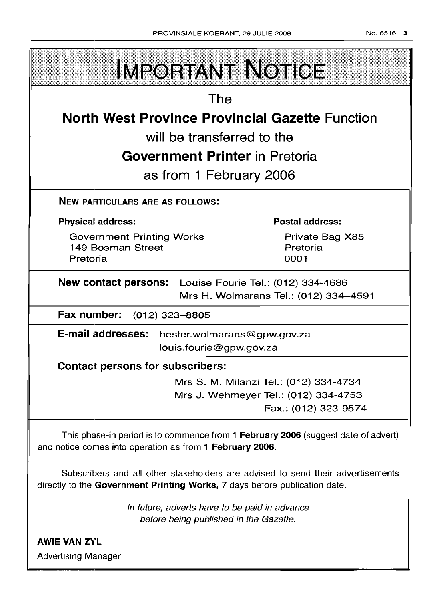| <b>IMPORTANT NOTICE</b>                                                                                                                                       |                                                              |  |
|---------------------------------------------------------------------------------------------------------------------------------------------------------------|--------------------------------------------------------------|--|
| <b>The</b>                                                                                                                                                    |                                                              |  |
| <b>North West Province Provincial Gazette Function</b>                                                                                                        |                                                              |  |
| will be transferred to the                                                                                                                                    |                                                              |  |
| <b>Government Printer</b> in Pretoria                                                                                                                         |                                                              |  |
| as from 1 February 2006                                                                                                                                       |                                                              |  |
| <b>NEW PARTICULARS ARE AS FOLLOWS:</b>                                                                                                                        |                                                              |  |
| <b>Physical address:</b>                                                                                                                                      | <b>Postal address:</b>                                       |  |
| <b>Government Printing Works</b><br>149 Bosman Street<br>Pretoria                                                                                             | Private Bag X85<br>Pretoria<br>0001                          |  |
| New contact persons: Louise Fourie Tel.: (012) 334-4686<br>Mrs H. Wolmarans Tel.: (012) 334-4591                                                              |                                                              |  |
| Fax number: (012) 323-8805                                                                                                                                    |                                                              |  |
| <b>E-mail addresses:</b><br>hester.wolmarans@gpw.gov.za<br>louis.fourie@gpw.gov.za                                                                            |                                                              |  |
| <b>Contact persons for subscribers:</b>                                                                                                                       |                                                              |  |
|                                                                                                                                                               | Mrs S. M. Milanzi Tel.: (012) 334-4734                       |  |
|                                                                                                                                                               | Mrs J. Wehmeyer Tel.: (012) 334-4753<br>Fax.: (012) 323-9574 |  |
| This phase-in period is to commence from 1 February 2006 (suggest date of advert)<br>and notice comes into operation as from 1 February 2006.                 |                                                              |  |
| Subscribers and all other stakeholders are advised to send their advertisements<br>directly to the Government Printing Works, 7 days before publication date. |                                                              |  |
| In future, adverts have to be paid in advance<br>before being published in the Gazette.                                                                       |                                                              |  |

AWIE VAN ZYL Advertising Manager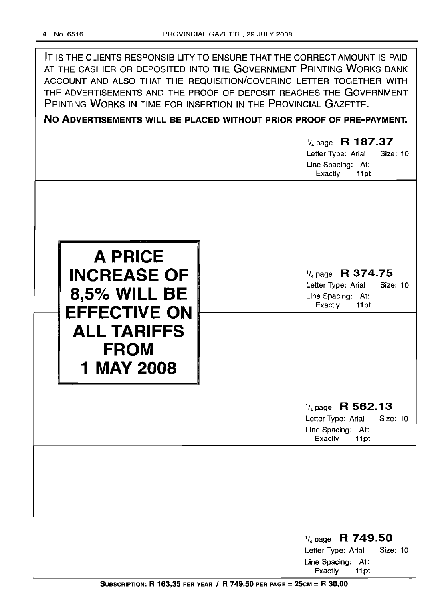IT IS THE CLIENTS RESPONSIBILITY TO ENSURE THAT THE CORRECT AMOUNT IS PAID AT THE CASHIER OR DEPOSITED INTO THE GOVERNMENT PRINTING WORKS BANK ACCOUNT AND ALSO THAT THE REQUISITION/COVERING LETTER TOGETHER WITH THE ADVERTISEMENTS AND THE PROOF OF DEPOSIT REACHES THE GOVERNMENT PRINTING WORKS IN TIME FOR INSERTION IN THE PROVINCIAL GAZETTE.

No ADVERTISEMENTS WILL BE PLACED WITHOUT PRIOR PROOF OF PRE-PAYMENT.

 $\frac{1}{4}$  page R 187.37 Letter Type: Arial Size: 10 Line Spacing: At: Exactly 11pt  $\frac{1}{4}$  page R 374.75 Letter Type: Arial Size: 10 Line Spacing: At: Exactly 11 pt **A PRICE INCREASE OF** 8,5% **WILL BE EFFECTIVE ON ALL TARIFFS FROM 1 MAY 2008**  $\frac{1}{4}$  page R 562.13 Letter Type: Arial Size: 10 Line Spacing: At: Exactly 11pt 1/4 page R 749.50 Letter Type: Arial Size: 10 Line Spacing: At: Exactly 11 pt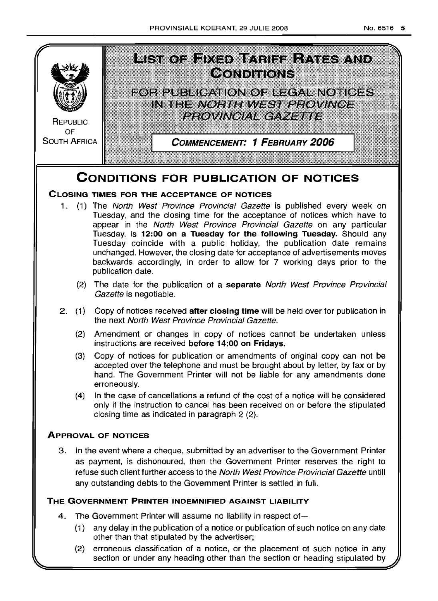

(2) erroneous classification of a notice, or the placement of such notice in any section or under any heading other than the section or heading stipulated by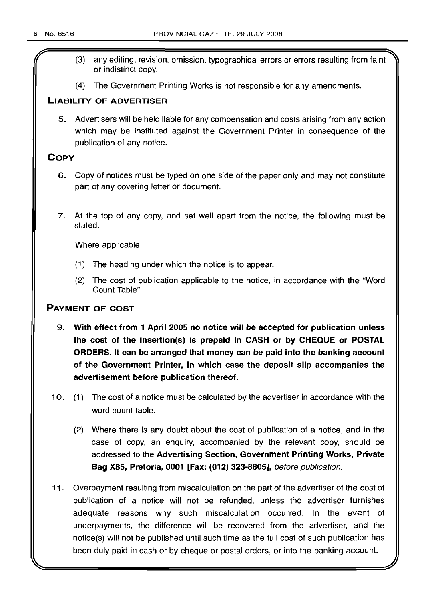- r (3) any editing, revision, omission, typographical errors or errors resulting from faint or indistinct copy.
- (4) The Government Printing Works is not responsible for any amendments.

# LIABILITY OF ADVERTISER

5. Advertisers will be held liable for any compensation and costs arising from any action which may be instituted against the Government Printer in consequence of the publication of any notice.

# **COPY**

- 6. Copy of notices must be typed on one side of the paper only and may not constitute part of any covering letter or document.
- 7. At the top of any copy, and set well apart from the notice, the following must be stated:

Where applicable

- (1) The heading under which the notice is to appear.
- (2) The cost of publication applicable to the notice, in accordance with the "Word Count Table".

# PAYMENT OF COST

- 9. With effect from 1 April 2005 no notice will be accepted for publication unless the cost of the insertion(s) is prepaid in CASH or by CHEQUE or POSTAL ORDERS. It can be arranged that money can be paid into the banking account of the Government Printer, in which case the deposit slip accompanies the advertisement before publication thereof.
- 10. (1) The cost of a notice must be calculated by the advertiser in accordance with the word count table.
	- (2) Where there is any doubt about the cost of publication of a notice, and in the case of copy, an enquiry, accompanied by the relevant copy, should be addressed to the Advertising Section, Government Printing Works, Private Bag X85, Pretoria, 0001 [Fax: (012) 323-8805], before publication.
- 11 . Overpayment resulting from miscalculation on the part of the advertiser of the cost of publication of a notice will not be refunded, unless the advertiser furnishes adequate reasons why such miscalculation occurred. In the event of underpayments, the difference will be recovered from the advertiser, and the notice(s) will not be published until such time as the full cost of such publication has been duly paid in cash or by cheque or postal orders, or into the banking account.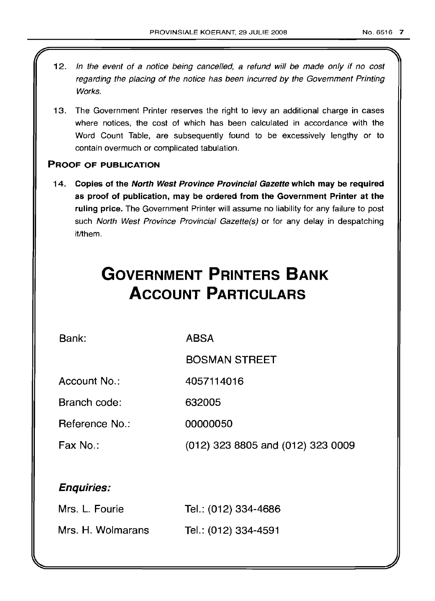- 12. In the event of a notice being cancelled, a refund will be made only if no cost regarding the placing of the notice has been incurred by the Government Printing Works.
- 13. The Government Printer reserves the right to levy an additional charge in cases where notices, the cost of which has been calculated in accordance with the Word Count Table, are subsequently found to be excessively lengthy or to contain overmuch or complicated tabulation.

# PROOF OF PUBLICATION

14. Copies of the North West Province Provincial Gazette which may be required as proof of publication, may be ordered from the Government Printer at the ruling price. The Government Printer will assume no liability for any failure to post such North West Province Provincial Gazette(s) or for any delay in despatching it/them.

# **GOVERNMENT PRINTERS BANK ACCOUNT PARTICULARS**

Bank:

ABSA

BOSMAN STREET

Account No.: 4057114016

Branch code: 632005

Reference No.: 00000050

Fax No.: (012) 323 8805 and (012) 323 0009

# Enquiries:

| Mrs. L. Fourie    | Tel.: (012) 334-4686 |
|-------------------|----------------------|
| Mrs. H. Wolmarans | Tel.: (012) 334-4591 |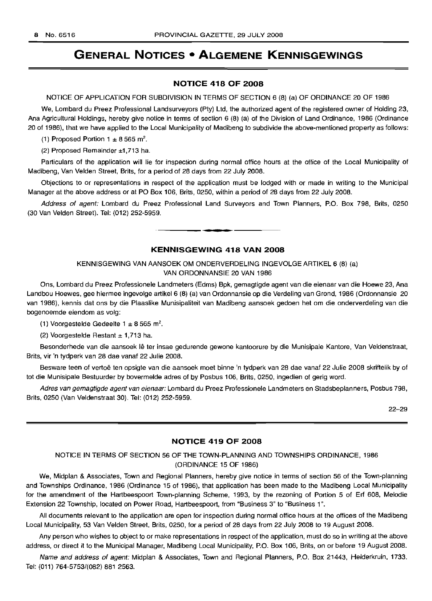# **GENERAL NOTICES • ALGEMENE KENNISGEWINGS**

# **NOTICE 418 OF 2008**

NOTICE OF APPLICATION FOR SUBDIVISION IN TERMS OF SECTION 6 (8) (a) OF ORDINANCE 20 OF 1986

We, Lombard du Preez Professional Landsurveyors (Pty) Ltd, the authorized agent of the registered owner of Holding 23, Ana Agricultural Holdings, hereby give notice in terms of section 6 (8) (a) of the Division of Land Ordinance, 1986 (Ordinance 20 of 1986), that we have applied to the Local Municipality of Madibeng to subdivide the above-mentioned property as follows:

(1) Proposed Portion  $1 \pm 8565$  m<sup>2</sup>.

(2) Proposed Remainder ±1,713 ha.

Particulars of the application will lie for inspection during normal office hours at the office of the Local Municipality of Madibeng, Van Velden Street, Brits, for a period of 28 days from 22 July 2008.

Objections to or representations in respect of the application must be lodged with or made in writing to the Municipal Manager at the above address or at PO Box 106, Brits, 0250, within a period of 28 days from 22 July 2008.

Address of agent: Lombard du Preez Professional Land Surveyors and Town Planners, P.O. Box 798, Brits, 0250 (30 Van Velden Street). Tel: (012) 252-5959. .**- .**

# **KENNISGEWING 418 VAN 2008**

KENNISGEWING VAN AANSOEK OM ONDERVERDELING INGEVOLGE ARTIKEL 6 (8) (a) VAN ORDONNANSIE 20 VAN 1986

Ons, Lombard du Preez Professionele Landmeters (Edms) Bpk, gemagtigde agent van die eienaar van die Hoewe 23, Ana Landbou Hoewes, gee hiermee ingevolge artikel 6 (8) (a) van Ordonnansie op die Verdeling van Grond, 1986 (Ordonnansie 20 van 1986), kennis dat ons by die Plaaslike Munisipaliteit van Madibeng aansoek gedoen het om die onderverdeling van die bogenoemde eiendom as volg:

(1) Voorgestelde Gedeelte 1  $\pm$  8 565 m<sup>2</sup>.

(2) Voorgestelde Restant  $\pm$  1,713 ha.

Besonderhede van die aansoek Ie ter insae gedurende gewone kantoorure by die Munisipale Kantore, Van Veldenstraat, Brits, vir 'n tydperk van 28 dae vanaf 22 Julie 2008.

Besware teen of vertoe ten opsigte van die aansoek moet binne 'n tydperk van 28 dae vanaf 22 Julie 2008 skriftelik by of tot die Munisipale Bestuurder by bovermelde adres of by Posbus 106, Brits, 0250, ingedien of gerig word.

Adres van gemagtigde agent van eienaar: Lombard du Preez Professionele Landmeters en Stadsbeplanners, Posbus 798, Brits, 0250 (Van Veldenstraat 30). Tel: (012) 252-5959.

22-29

# **NOTICE 419 OF 2008**

# NOTICE IN TERMS OF SECTION 56 OF THE TOWN-PLANNING AND TOWNSHIPS ORDINANCE, 1986 (ORDINANCE 15 OF 1986)

We, Midplan & Associates, Town and Regional Planners, hereby give notice in terms of section 56 of the Town-planning and Townships Ordinance, 1986 (Ordinance 15 of 1986), that application has been made to the Madibeng Local Municipality for the amendment of the Hartbeespoort Town-planning Scheme, 1993, by the rezoning of Portion 5 of Erf 608, Melodie Extension 22 Township, located on Power Road, Hartbeespoort, from "Business 3" to "Business 1",

All documents relevant to the application are open for inspection during normal office hours at the offices of the Madibeng Local Municipality, 53 Van Velden Street, Brits, 0250, for a period of 28 days from 22 July 2008 to 19 August 2008.

Any person who wishes to object to or make representations in respect of the application, must do so in writing at the above address, or direct it to the Municipal Manager, Madibeng Local Municipality, P.O. Box 106, Brits, on or before 19 August 2008.

Name and address of agent: Midplan & Associates, Town and Regional Planners, P.O. Box 21443, Helderkruin, 1733. Tel: (011) 764-5753/(082) 881 2563.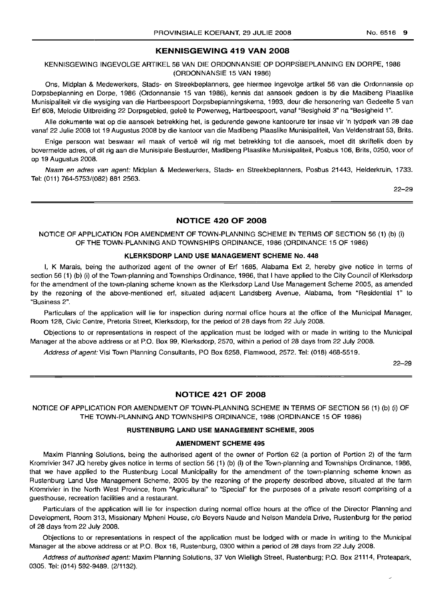# KENNISGEWING 419 VAN 2008

# KENNISGEWING INGEVOLGE ARTIKEL 56 VAN DIE ORDONNANSIE OP DORPSBEPLANNING EN DORPE, 1986 (ORDONNANSIE 15 VAN 1986)

Ons, Midplan & Medewerkers, Stads- en Streekbeplanners, gee hiermee ingevolge artikel 56 van die Ordonnansie op Dorpsbeplanning en Dorpe, 1986 (Ordonnansie 15 van 1986), kennis dat aansoek gedoen is by die Madibeng Plaaslike Munisipaliteit vir die wysiging van die Hartbeespoort Dorpsbeplanningskema, 1993, deur die hersonering van Gedeelte 5 van Erf 608, Melodie Uitbreiding 22 Dorpsgebied, gelee te Powerweg, Hartbeespoort, vanaf "Besigheid 3" na "Besigheid 1".

Aile dokumente wat op die aansoek betrekking het, is gedurende gewone kantoorure ter insae vir 'n tydperk van 28 dae vanaf 22 Julie 2008 tot 19 Augustus 2008 by die kantoor van die Madibeng Plaaslike Munisipaliteit, Van Veldenstraat 53, Brits.

Enige persoon wat beswaar wil maak of vertoë wil rig met betrekking tot die aansoek, moet dit skriftelik doen by bovermelde adres, of dit rig aan die Munisipale Bestuurder, Madibeng Plaaslike Munisipaliteit, Posbus 106, Brits, 0250, voor of op 19 Augustus 2008.

Naam en adres van agent: Midplan & Medewerkers, Stads- en Streekbeplanners, Posbus 21443, Helderkruin, 1733. Tel: (011) 764-5753/(082) 881 2563.

22-29

### NOTICE 420 OF 2008

# NOTICE OF APPLICATION FOR AMENDMENT OF TOWN-PLANNING SCHEME IN TERMS OF SECTION 56 (1) (b) (i) OF THE TOWN-PLANNING AND TOWNSHIPS ORDINANCE, 1986 (ORDINANCE 15 OF 1986)

# KLERKSDORP LAND USE MANAGEMENT SCHEME No. 448

I, K Marais, being the authorized agent of the owner of Erf 1685, Alabama Ext 2, hereby give notice in terms of section 56 (1) (b) (i) of the Town-planning and Townships Ordinance, 1986, that I have applied to the City Council of Klerksdorp for the amendment of the town-planing scheme known as the Klerksdorp Land Use Management Scheme 2005, as amended by the rezoning of the above-mentioned erf, situated adjacent Landsberg Avenue, Alabama, from "Residential 1" to "Business 2".

Particulars of the application will lie for inspection during normal office hours at the office of the Municipal Manager, Room 128, Civic Centre, Pretoria Street, Klerksdorp, for the period of 28 days from 22 July 2008.

Objections to or representations in respect of the application must be lodged with or made in writing to the Municipal Manager at the above address or at P.O. Box 99, Klerksdorp, 2570, within a period of 28 days from 22 July 2008.

Address of agent: Visi Town Planning Consultants, PO Box 6258, Flamwood, 2572. Tel: (018) 468-5519.

22-29

# NOTICE 421 OF 2008

NOTICE OF APPLICATION FOR AMENDMENT OF TOWN-PLANNING SCHEME IN TERMS OF SECTION 56 (1) (b) (i) OF THE TOWN-PLANNING AND TOWNSHIPS ORDINANCE, 1986 (ORDINANCE 15 OF 1986)

### RUSTENBURG LAND USE MANAGEMENT SCHEME, 2005

#### AMENDMENT SCHEME 495

Maxim Planning Solutions, being the authorised agent of the owner of Portion 62 (a portion of Portion 2) of the farm Kromrivier 347 JQ hereby gives notice in terms of section 56 (1) (b) (i) of the Town-planning and Townships Ordinance, 1986, that we have applied to the Rustenburg Local Municipality for the amendment of the town-planning scheme known as Rustenburg Land Use Management Scheme, 2005 by the rezoning of the property described above, situated at the farm Kromrivier in the North West Province, from "Agricultural" to "Special" for the purposes of a private resort comprising of a guesthouse, recreation facilities and a restaurant.

Particulars of the application will lie for inspection during normal office hours at the office of the Director Planning and Development, Room 313, Missionary Mpheni House, c/o Beyers Naude and Nelson Mandela Drive, Rustenburg for the period of 28 days from 22 July 2008.

Objections to or representations in respect of the application must be lodged with or made in writing to the Municipal Manager at the above address or at P.O. Box 16, Rustenburg, 0300 within a period of 28 days from 22 July 2008.

Address of authorised agent: Maxim Planning Solutions, 37 Von Wielligh Street, Rustenburg; P.O. Box 21114, Proteapark, 0305. Tel: (014) 592-9489. (2/1132).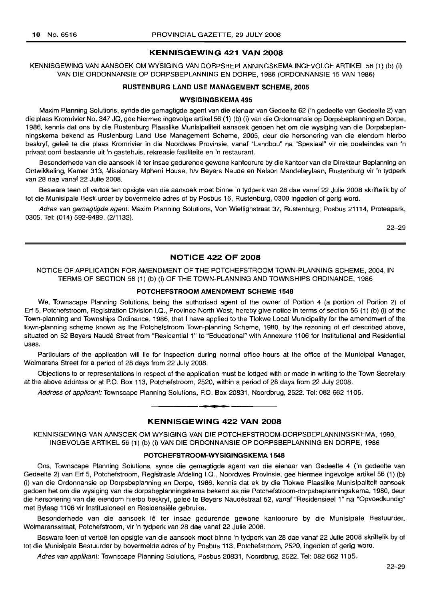# KENNISGEWING 421 VAN 2008

KENNISGEWING VAN AANSOEK OM WYSIGING VAN DORPSBEPLANNINGSKEMA INGEVOLGE ARTIKEL 56 (1) (b) (i) VAN DIE ORDONNANSIE OP DORPSBEPLANNING EN DORPE, 1986 (ORDONNANSIE 15 VAN 1986)

### RUSTENBURG LAND USE MANAGEMENT SCHEME, 2005

#### WVSIGINGSKEMA 495

Maxim Planning Solutions, synde die gemagtigde agent van die eienaar van Gedeelte 62 ('n gedeelte van Gedeelte 2) van die plaas Kromrivier No. 347 JQ, gee hiermee ingevolge artikel56 (1) (b) (i) van die Ordonnansie op Dorpsbeplanning en Dorpe, 1986, kennis dat ons by die Rustenburg Plaaslike Munisipaliteit aansoek gedoen het om die wysiging van die Dorpsbeplanningskema bekend as Rustenburg Land Use Management Scheme, 2005, deur die hersonering van die eiendom hierbo beskryf, geleë te die plaas Kromrivier in die Noordwes Provinsie, vanaf "Landbou" na "Spesiaal" vir die doeleindes van 'n privaat oord bestaande uit 'n gastehuis, rekreasie fasiliteite en 'n restaurant.

Besonderhede van die aansoek lê ter insae gedurende gewone kantoorure by die kantoor van die Direkteur Beplanning en Ontwikkeling, Kamer 313, Missionary Mpheni House, h/v Beyers Naude en Nelson Mandelarylaan, Rustenburg vir 'n tydperk van 28 dae vanaf 22 Julie 2008.

Besware teen of vertoë ten opsigte van die aansoek moet binne 'n tydperk van 28 dae vanaf 22 Julie 2008 skriftelik by of tot die Munisipale Bestuurder by bovermelde adres of by Posbus 16, Rustenburg, 0300 ingedien of gerig word.

Adres van gemagtigde agent: Maxim Planning Solutions, Von Wiellighstraat 37, Rustenburg; Posbus 21114, Proteapark, 0305. Tel: (014) 592-9489. (2/1132).

22-29

# NOTICE 422 OF 2008

# NOTICE OF APPLICATION FOR AMENDMENT OF THE POTCHEFSTROOM TOWN-PLANNING SCHEME, 2004, IN TERMS OF SECTION 56 (1) (b) (i) OF THE TOWN-PLANNING AND TOWNSHIPS ORDINANCE, 1986

# POTCHEFSTROOM AMENDMENT SCHEME 1548

We, Townscape Planning Solutions, being the authorised agent of the owner of Portion 4 (a portion of Portion 2) of Erf 5, Potchefstroom, Registration Division I.Q., Province North West, hereby give notice in terms of section 56 (1) (b) (i) of the Town-planning and Townships Ordinance, 1986, that I have applied to the Tlokwe Local Municipality for the amendment of the town-planning scheme known as the Potchefstroom Town-planning Scheme, 1980, by the rezoning of erf described above, situated on 52 Beyers Naude Street from "Residential 1" to "Educational" with Annexure 1106 for Institutional and Residential uses.

Particulars of the application will lie for inspection during normal office hours at the office of the Municipal Manager, Wolmarans Street for a period of 28 days from 22 July 2008.

Objections to or representations in respect of the application must be lodged with or made in writing to the Town Secretary at the above address or at P.O. Box 113, Potchefstroorn, 2520, within a period of 28 days from 22 July 2008.

Address of applicant: Townscape Planning Solutions, P.O. Box 20831, Noordbrug, 2522. Tel: 082 662 1105.

# I **• I** KENNISGEWING 422 VAN 2008

KENNISGEWING VAN AANSOEK OM WYSIGING VAN DIE POTCHEFSTROOM-DORPSBEPLANNINGSKEMA, 1980, INGEVOLGE ARTIKEL 56 (1) (b) (i) VAN DIE ORDONNANSIE OP DORPSBEPLANNING EN DORPE, 1986

#### POTCHEFSTROOM-WVSIGINGSKEMA 1548

Ons, Townscape Planning Solutions, synde die gemagtigde agent van die eienaar van Gedeelte 4 ('n gedeelte van Gedeelte 2) van Erf 5, Potchefstroom, Registrasie Afdeling I.Q., Noordwes Provinsie, gee hiermee ingevolge artikel 56 (1) (b) (i) van die Ordonnansie op Dorpsbeplanning en Dorpe, 1986, kennis dat ek by die Tlokwe Plaaslike Munisipaliteit aansoek gedoen het om die wysiging van die dorpsbeplanningskema bekend as die Potchefstroom-dorpsbeplanningskema, 1980, deur die hersonering van die eiendom hierbo beskryf, geleë te Beyers Naudéstraat 52, vanaf "Residensieel 1" na "Opvoedkundig" met Bylaag 1106 vir Institusioneel en Hesidensiele gebruike.

Besonderhede van die aansoek lê ter insae gedurende gewone kantoorure by die Munisipale Bestuurder, Wolmaransstraat, Potchefstroom, vir 'n tydperk van 28 dae vanaf 22 Julie 2008.

Besware teen of vertoë ten opsigte van die aansoek moet binne 'n tydperk van 28 dae vanaf 22 Julie 2008 skriftelik by of tot die Munisipale Bestuurder by bovermelde adres of by Posbus 113, Potchefstroom, 2520, ingedien of gerig word.

Adres van applikant: Townscape Planning Solutions, Posbus 20831, Noordbrug, 2522. Tel: 082 662 1105.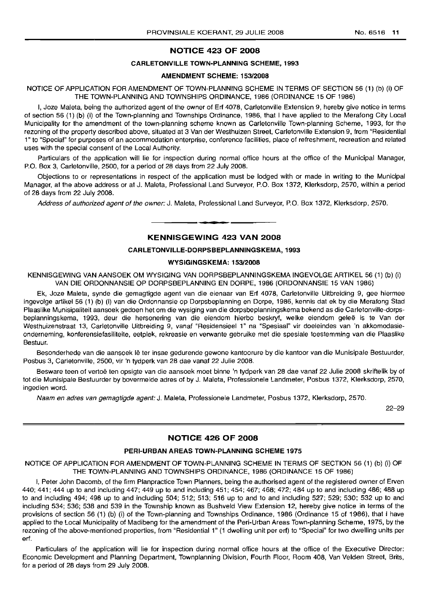# **NOTICE 423 OF 2008**

# **CARLETONVILLE TOWN-PLANNING SCHEME, 1993**

#### **AMENDMENT SCHEME: 153/2008**

NOTICE OF APPLICATION FOR AMENDMENT OF TOWN-PLANNING SCHEME IN TERMS OF SECTION 56 (1) (b) (i) OF **THE** TOWN-PLANNING AND TOWNSHIPS ORDINANCE, 1986 (ORDINANCE 15 OF 1986)

I, Joze Maleta, being the authorized agent of the owner of Erf 4078, Carletonville Extension 9, hereby give notice in terms of section 56 (1) (b) (i) of the Town-planning and Townships Ordinance, 1986, that I have applied to the Merafong City Local Municipality for the amendment of the town-planning scheme known as Carletonville Town-planning Scheme, 1993, for the rezoning of the property described above, situated at 3 Van der Westhuizen Street, Carletonville Extension 9, from "Residential 1" to "Special" for purposes of an accommodation enterprise, conference facilities, place of refreshment, recreation and related uses with the special consent of the Local Authority.

Particulars of the application will lie for inspection during normal office hours at the office of the Municipal Manager, P.O. Box 3, Carletonville, 2500, for a period of 28 days from 22 July 2008.

Objections to or representations in respect of the application must be lodged with or made in writing to the Municipal Manager, at the above address or at J. Maleta, Professional Land Surveyor, P.O. Box 1372, Klerksdorp, 2570, within a period of 28 days from 22 July 2008.

Address of authorized agent of the owner: J. Maleta, Professional Land Surveyor, P.O. Box 1372, Klerksdorp, 2570.

I **\_ I**

# **KENNISGEWING 423 VAN 2008**

# **CARLETONVILLE-DORPSBEPLANNINGSKEMA, 1993**

#### **WYSIGINGSKEMA: 153/2008**

KENNISGEWING VAN AANSOEK OM WYSIGING VAN DORPSBEPLANNINGSKEMA INGEVOLGE ARTIKEL 56 (1) (b) (i) VAN DIE ORDONNANSIE OP DORPSBEPLANNING EN DORPE, 1986 (ORDONNANSIE 15 VAN 1986)

Ek, Joze Maleta, synde die gemagtigde agent van die eienaar van Erf 4078, Carletonville Uitbreiding 9, gee hiermee ingevolge artikel 56 (1) (b) (i) van die Ordonnansie op Dorpsbeplanning en Dorpe, 1986, kennis dat ek by die Merafong Stad Plaaslike Munisipaliteit aansoek gedoen het om die wysiging van die dorpsbeplanningskema bekend as die Carletonville-dorpsbeplanningskema, 1993, deur die hersonering van die eiendom hierbo beskryf, welke eiendom geleë is te Van der Westhuizenstraat 13, Carletonville Uitbreiding 9, vanaf "Residensieel 1" na "Spesiaal" vir doeleindes van 'n akkomodasieonderneming, konferensiefasiliteite, eetplek, rekreasie en verwante gebruike met die spesiale toestemming van die Plaaslike Bestuur.

Besonderhede van die aansoek lê ter insae gedurende gewone kantoorure by die kantoor van die Munisipale Bestuurder, Posbus 3, Carletonville, 2500, vir 'n tydperk van 28 dae vanaf 22 Julie 2008.

Besware teen of vertoë ten opsigte van die aansoek moet binne 'n tydperk van 28 dae vanaf 22 Julie 2008 skriftelik by of tot die Munisipale Bestuurder by bovermelde adres of by J. Maleta, Professionele Landmeter, Posbus 1372, Klerksdorp, 2570, ingedien word.

Naam en adres van gemagtigde agent: J. Maleta, Professionele Landmeter, Posbus 1372, Klerksdorp, 2570.

22-29

# **NOTICE 426 OF 2008**

#### **PERI-URBAN AREAS TOWN-PLANNING SCHEME 1975**

NOTICE OF APPLICATION FOR AMENDMENT OF TOWN-PLANNING SCHEME IN TERMS OF SECTION 56 (1) (b) (i) OF **THE** TOWN-PLANNING AND TOWNSHIPS ORDINANCE, 1986 (ORDINANCE 15 OF 1986)

I, Peter John Dacomb, of the firm Planpractice Town Planners, being the authorised agent of the registered owner of Erven 440; 441; 444 up to and including 447; 449 up to and including 451; 454; 467; 468; 472; 484 up to and including 486; 488 up to and including 494; 498 up to and including 504; 512; 513; 516 up to and to and including 527; 529; 530; 532 up to and including 534; 536; 538 and 539 in the Township known as Bushveld View Extension 12, hereby give notice in terms of the provisions of section 56 (1) (b) (i) of the Town-planning and Townships Ordinance, 1986 (Ordinance 15 of 1986), that I have applied to the Local Municipality of Madibeng for the amendment of the Peri-Urban Areas Town-planning Scheme, 1975, by the rezoning of the above-mentioned properties, from "Residential 1" (1 dwelling unit per erf) to "Special" for two dwelling units per erf.

Particulars of the application will lie for inspection during normal office hours at the office of the Executive Director: Economic Development and Planning Department, Townplanning Division, Fourth Floor, Room 408, Van Velden Street, Brits, for a period of 28 days from 29 July 2008.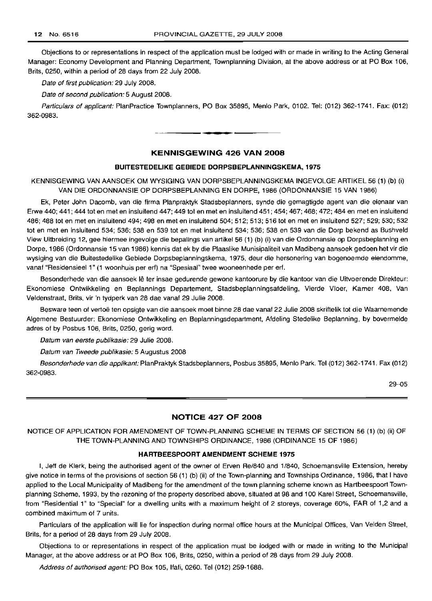Objections to or representations in respect of the application must be lodged with or made in writing to the Acting General Manager: Economy Development and Planning Department, Townplanning Division, at the above address or at PO Box 106, Brits, 0250, within a period of 28 days from 22 July 2008.

Date of first publication: 29 July 2008.

Date of second publication: 5 August 2008.

Particulars of applicant: PlanPractice Townplanners, PO Box 35895, Menlo Park, 0102. Tel: (012) 362-1741. Fax: (012) 362-0983.

# KENNISGEWING 426 VAN 2008

**•**

### BUITESTEDELIKE GEBIEDE DORPSBEPLANNINGSKEMA, 1975

KENNISGEWING VAN AANSOEK OM WYSIGING VAN DORPSBEPLANNINGSKEMA INGEVOLGE ARTIKEL 56 (1) (b) (i) VAN DIE ORDONNANSIE OP DORPSBEPLANNING EN DORPE, 1986 (ORDONNANSIE 15 VAN 1986)

Ek, Peter John Dacomb, van die firma Planpraktyk Stadsbeplanners, synde die gemagtigde agent van die eienaar van Erwe 440; 441; 444 tot en met en insluitend 447; 449 tot en met en insluitend 451; 454; 467; 468; 472; 484 en met en insluitend 486; 488 tot en met en insluitend 494; 498 en met en insluitend 504; 512; 513; 516 tot en met en insluitend 527; 529; 530; 532 tot en met en insluitend 534; 536; 538 en 539 tot en met insluitend 534; 536; 538 en 539 van die Dorp bekend as Bushveld View Uitbreiding 12, gee hiermee ingevolge die bepalings van artikel 56 (1) (b) (i) van die Ordonnansie op Dorpsbeplanning en Dorpe, 1986 (Ordonnansie 15 van 1986) kennis dat ek by die Plaaslike Munisipaliteit van Madibeng aansoek gedoen het vir die wysiging van die Buitestedelike Gebiede Dorpsbeplanningskema, 1975, deur die hersonering van bogenoemde eiendomme, vanaf "Residensieel 1" (1 woonhuis per eri) na "Spesiaal" twee wooneenhede per eri.

Besonderhede van die aansoek lê ter insae gedurende gewone kantoorure by die kantoor van die Uitvoerende Direkteur: Ekonomiese Ontwikkeling en Beplannings Departement, Stadsbeplanningsafdeling, Vierde Vloer, Kamer 408, Van Veldenstraat, Brits, vir 'n tydperk van 28 dae vanaf 29 Julie 2008.

Besware teen of vertoe ten opsigte van die aansoek moet binne 28 dae vanaf 22 Julie 2008 skriftelik tot die Waarnemende Aigemene Bestuurder: Ekonomiese Ontwikkeling en Beplanningsdepartment, Afdeling Stedelike Beplanning, by bovermelde adres of by Posbus 106, Brits, 0250, gerig word.

Datum van eerste publikasie: 29 Julie 2008.

Datum van Tweede publikasie: 5 Augustus 2008

Besonderhede van die applikant: PlanPraktyk Stadsbeplanners, Posbus 35895, Menlo Park. Tel (012) 362-1741. Fax (012) 362-0983.

29-05

# NOTICE 427 OF 2008

NOTICE OF APPLICATION FOR AMENDMENT OF TOWN-PLANNING SCHEME IN TERMS OF SECTION 56 (1) (b) (ii) OF THE TOWN-PLANNING AND TOWNSHIPS ORDINANCE, 1986 (ORDINANCE 15 OF 1986)

#### HARTBEESPOORT AMENDMENT SCHEME 1975

I, Jeff de Klerk, being the authorised agent of the owner of Erven Re/840 and 1/840, Schoemansville Extension, hereby give notice in terms of the provisions of section 56 (1) (b) (ii) of the Town-planning and Townships Ordinance, 1986, that I have applied to the Local Municipality of Madibeng for the amendment of the town planning scheme known as Hartbeespoort Townplanning Scheme, 1993, by the rezoning of the property described above, situated at 98 and 100 Karel Street, Schoemansville, from "Residential 1" to "Special" for a dwelling units with a maximum height of 2 storeys, coverage 60%, FAR of 1,2 and a combined maximum of 7 units.

Particulars of the application will lie for inspection during normal office hours at the Municipal Offices, Van Velden Street, Brits, for a period of 28 days from 29 July 2008.

Objections to or representations in respect of the application must be lodged with or made in writing to the Municipal Manager, at the above address or at PO Box 106, Brits, 0250, within a period of 28 days from 29 July 2008.

Address of authorised agent: PO Box 105, Ifafi, 0260. Tel (012) 259-1688.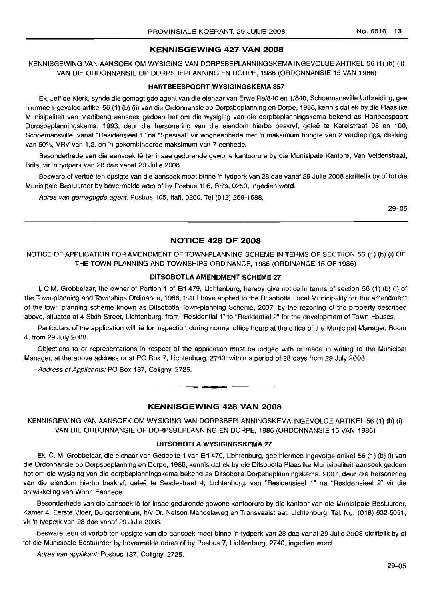# KENNISGEWING 427 VAN 2008

KENNISGEWING VAN AANSOEK OM WYSIGING VAN DORPSBEPLANNINGSKEMA INGEVOLGE ARTIKEL 56 (1) (b) (ii) VAN DIE ORDONNANSIE OP DORPSBEPLANNING EN DORPE, 1986 (ORDONNANSIE 15 VAN 1986)

#### HARTBEESPOORT WYSIGINGSKEMA 357

Ek, Jeff de Klerk, synde die gemagtigde agent van die eienaar van Erwe Re/840 en 1/840, Schoemansville Uitbreiding, gee hiermee ingevolge artikel 56 (1) (b) (ii) van die Ordonnansie op Dorpsbeplanning en Dorpe, 1986, kennis dat ek by die Plaaslike Munisipaliteit van Madibeng aansoek gedoen het om die wysiging van die dorpbeplanningskema bekend as Hartbeespoort Dorpsbeplanningskema, 1993, deur die hersonering van die eiendom hierbo beskryf, geleë te Karelstraat 98 en 100, Schoemansville, vanaf "Residensieel 1" na "Spesiaal" vir wooneenhede met 'n maksimum hoogte van 2 verdiepings, dekking van 60%, VRV van 1,2, en 'n gekombineerde maksimum van 7 eenhede.

Besonderhede van die aansoek Ie ter insae gedurende gewone kantoorure by die Munisipale Kantore, Van Veldenstraat, Brits, vir 'n tydperk van 28 dae vanaf 29 Julie 2008.

Besware of vertoë ten opsigte van die aansoek moet binne 'n tydperk van 28 dae vanaf 29 Julie 2008 skriftelik by of tot die Munisipale Bestuurder by bovermelde adrs of by Posbus 106, Brits, 0250, ingedien word.

Adres van gemagtigde agent: Posbus 105, Ifafi, 0260. Tel (012) 259-1688.

29-05

# NOTICE 428 OF 2008

NOTICE OF APPLICATION FOR AMENDMENT OF TOWN-PLANNING SCHEME IN TERMS OF SECTIION 56 (1) (b) (i) OF THE TOWN-PLANNING AND TOWNSHIPS ORDINANCE, 1986 (ORDINANCE 15 OF 1986)

### DITSOBOTLA AMENDMENT SCHEME 27

I, C.M. Grobbelaar, the owner of Portion 1 of Erf 479, Lichtenburg, hereby give notice in terms of section 56 (1) (b) (i) of the Town-planning and Townships Ordinance, 1986, that I have applied to the Ditsobotla Local Municipality for the amendment of the town planning scheme known as Ditsobotla Town-planning Scheme, 2007, by the rezoning of the property described above, situated at 4 Sixth Street, Lichtenburg, from "Residential 1" to "Residential 2" for the development of Town Houses.

Particulars of the application will lie for inspection during normal office hours at the office of the Municipal Manager, Room 4, from 29 July 2008.

Objections to or representations in respect of the application must be lodged with or made in writing to the Municipal Manager, at the above address or at PO Box 7, Lichtenburg, 2740, within a period of 28 days from 29 July 2008.

Address of Applicants: PO Box 137, Coligny, 2725.

# KENNISGEWING 428 VAN 2008

**• •**

KENNISGEWING VAN AANSOEK OM WYSIGING VAN DORPSBEPLANNINGSKEMA INGEVOLGE ARTIKEL 56 (1) (b) (i) VAN DIE ORDONNANSIE OP DORPSBEPLANNING EN DORPE, 1986 (ORDONNANSIE 15 VAN 1986)

# DITSOBOTLA WYSIGINGSKEMA 27

Ek, C. M. Grobbelaar, die eienaar van Gedeelte 1 van Erf 479, Lichtenburg, gee hiermee ingevolge artikel 56 (1) (b) (i) van die Ordonnansie op Dorpsbeplanning en Dorpe, 1986, kennis dat ek by die Ditsobotla Plaaslike Munisipaliteit aansoek gedoen het om die wysiging van die dorpbeplanningskema bekend as Ditsobotla Dorpsbeplanningskema, 2007, deur die hersonering van die eiendom hierbo beskryf, geleë te Sesdestraat 4, Lichtenburg, van "Residensieel 1" na "Residensieel 2" vir die ontwikkeling van Woon Eenhede.

Besonderhede van die aansoek lê ter insae gedurende gewone kantoorure by die kantoor van die Munisipale Bestuurder, Kamer 4, Eerste Vloer, Burgersentrum, hlv Dr. Nelson Mandelaweg en Transvaalstraat, Lichtenburg, Tel. No. (018) 632-5051, vir 'n tydperk van 28 dae vanaf 29 Julie 2008.

Besware teen of vertoë ten opsigte van die aansoek moet binne 'n tydperk van 28 dae vanaf 29 Julie 2008 skriftelik by of tot die Munisipale Bestuurder by bovermelde adres of by Posbus 7, Lichtenburg, 2740, ingedien word.

Adres van appfikant: Posbus 137, Coligny, 2725.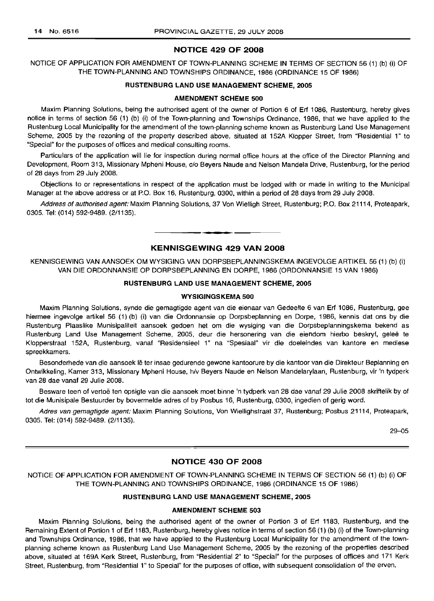# **NOTICE 429 OF 2008**

NOTICE OF APPLICATION FOR AMENDMENT OF TOWN-PLANNING SCHEME **IN** TERMS OF SECTION 56 (1) (b) (i) OF THE TOWN-PLANNING AND TOWNSHIPS ORDINANCE, 1986 (ORDINANCE 15 OF 1986)

### **RUSTENBURG LAND USE MANAGEMENT SCHEME, 2005**

#### **AMENDMENT SCHEME 500**

Maxim Planning Solutions, being the authorised agent of the owner of Portion 6 of Erf 1086, Rustenburg, hereby gives notice in terms of section 56 (1) (b) (i) of the Town-planning and Townships Ordinance, 1986, that we have applied to the Rustenburg Local Municipality for the amendment of the town-planning scheme known as Rustenburg Land Use Management Scheme, 2005 by the rezoning of the property described above, situated at 152A Klopper Street, from "Residential 1" to "Special" for the purposes of offices and medical consulting rooms.

Particulars of the application will lie for inspection during normal office hours at the office of the Director Planning and Development, Room 313, Missionary Mpheni House, c/o Beyers Naude and Nelson Mandela Drive, Rustenburg, for the period of 28 days from 29 July 2008.

Objections to or representations in respect of the application must be lodged with or made in writing to the Municipal Manager at the above address or at P.O. Box 16, Rustenburg, 0300, within a period of 28 days from 29 July 2008.

Address of authorised agent: Maxim Planning Solutions, 37 Von Wielligh Street, Rustenburg; P.O. Box 21114, Proteapark, 0305. Tel: (014) 592-9489. (2/1135).

# **KENNISGEWING 429 VAN 2008**

**• •**

KENNISGEWING VAN AANSOEK OM WYSIGING VAN DORPSBEPLANNINGSKEMA INGEVOLGE ARTIKEL 56 (1) (b) (i) VAN DIE ORDONNANSIE OP DORPSBEPLANNING EN DORPE, 1986 (ORDONNANSIE 15 VAN 1986)

## **RUSTENBURG LAND USE MANAGEMENT SCHEME, 2005**

#### **WYSIGINGSKEMA 500**

Maxim Planning Solutions, synde die gemagtigde agent van die eienaar van Gedeelte 6 van Erf 1086, Rustenburg, gee hiermee ingevolge artikel 56 (1) (b) (i) van die Ordonnansie op Dorpsbeplanning en Dorpe, 1986, kennis dat ons by die Rustenburg Plaaslike Munisipaliteit aansoek gedoen het om die wysiging van die Dorpsbeplanningskema bekend as Rustenburg Land Use Management Scheme, 2005, deur die hersonering van die eiendom hierbo beskryf, geleë te Klopperstraat 152A, Rustenburg, vanaf "Residensieel 1" na "Spesiaal" vir die doeleindes van kantore en mediese spreekkamers.

Besonderhede van die aansoek lê ter insae gedurende gewone kantoorure by die kantoor van die Direkteur Beplanning en Ontwikkeling, Kamer 313, Missionary Mpheni House, h/v Beyers Naude en Nelson Mandelarylaan, Rustenburg, vir 'n tydperk van 28 dae vanaf 29 Julie 2008.

Besware teen of vertoë ten opsigte van die aansoek moet binne 'n tydperk van 28 dae vanaf 29 Julie 2008 skriftelik by of tot die Munisipale Bestuurder by bovermelde adres of by Posbus 16, Rustenburg, 0300, ingedien of gerig word.

Adres van gemagtigde agent: Maxim Planning Solutions, Von Wiellighstraat 37, Rustenburg; Posbus 21114, Proteapark, 0305. Tel: (014) 592-9489. (2/1135).

29-05

# **NOTICE 430 OF 2008**

NOTICE OF APPLICATION FOR AMENDMENT OF TOWN-PLANNING SCHEME IN TERMS OF SECTION 56 (1) (b) (i) OF THE TOWN-PLANNING AND TOWNSHIPS ORDINANCE, 1986 (ORDINANCE 15 OF 1986)

# **RUSTENBURG LAND USE MANAGEMENT SCHEME, 2005**

#### **AMENDMENT SCHEME 503**

Maxim Planning Solutions, being the authorised agent of the owner of Portion 3 of Erf 1183, Rustenburg, and the Remaining Extent of Portion 1 of Erf 1183, Rustenburg, hereby gives notice in terms of section 56 (1) (b) (i) of the Town-planning and Townships Ordinance, 1986, that we have applied to the Rustenburg Local Municipality for the amendment of the townplanning scheme known as Rustenburg Land Use Management Scheme, 2005 by the rezoning of the properties described above, situated at 169A Kerk Street, Rustenburg, from "Residential 2" to "Special" for the purposes of offices and 171 Kerk Street, Rustenburg, from "Residential 1" to Special" for the purposes of office, with subsequent consolidation of the erven.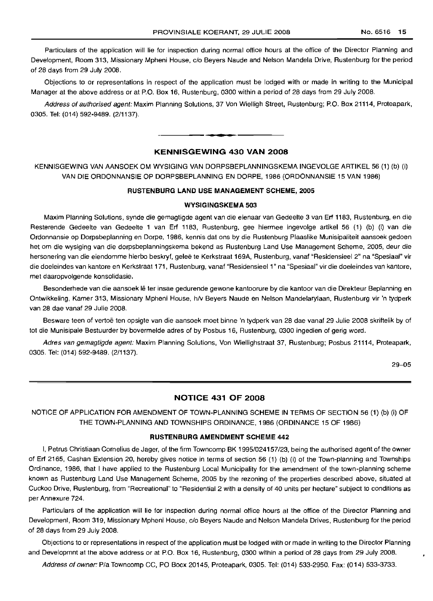Particulars of the application will lie for inspection during normal office hours at the office of the Director Planning and Development, Room 313, Missionary Mpheni House, c/o Beyers Naude and Nelson Mandela Drive, Rustenburg for the period of 28 days from 29 July 2008.

Objections to or representations in respect of the application must be lodged with or made in writing to the Municipal Manager at the above address or at P.O. Box 16, Rustenburg, 0300 within a period of 28 days from 29 July 2008.

Address of authorised agent: Maxim Planning Solutions, 37 Von Wielligh Street, Rustenburg; P.O. Box 21114, Proteapark, 0305. Tel: (014) 592-9489. (2/1137).

.**- .**

# KENNISGEWING 430 VAN 2008

KENNISGEWING VAN AANSOEK OM WYSIGING VAN DORPSBEPLANNINGSKEMA INGEVOLGE ARTIKEL 56 (1) (b) (i) VAN DIE ORDONNANSIE OP DORPSBEPLANNING EN DORPE, 1986 (ORDONNANSIE 15 VAN 1986)

### RUSTENBURG LAND USE MANAGEMENT SCHEME, 2005

#### WYSIGINGSKEMA 503

Maxim Planning Solutions, synde die gemagtigde agent van die eienaar van Gedeelte 3 van Erf 1183, Rustenburg, en die Resterende Gedeelte van Gedeelte 1 van Erf 1183, Rustenburg, gee hiermee ingevolge artikel 56 (1) (b) (i) van die Ordonnansie op Dorpsbeplanning en Dorpe, 1986, kennis dat ons by die Rustenburg Plaaslike Munisipaliteit aansoek gedoen het om die wysiging van die dorpsbeplanningskema bekend as Rustenburg Land Use Management Scheme, 2005, deur die hersonering van die eiendomme hierbo beskryf, geleë te Kerkstraat 169A, Rustenburg, vanaf "Residensieel 2" na "Spesiaal" vir die doeleindes van kantore en Kerkstraat 171, Rustenburg, vanaf "Residensieel 1" na "Spesiaal" vir die doeleindes van kantore, met daaropvolgende konsolidasie.

Besonderhede van die aansoek lê ter insae gedurende gewone kantoorure by die kantoor van die Direkteur Beplanning en Ontwikkeling, Kamer 313, Missionary Mpheni House, h/v Beyers Naude en Nelson Mandelarylaan, Rustenburg vir 'n tydperk van 28 dae vanaf 29 Julie 2008.

Besware teen of vertoë ten opsigte van die aansoek moet binne 'n tydperk van 28 dae vanaf 29 Julie 2008 skriftelik by of tot die Munisipale Bestuurder by bovermelde adres of by Posbus 16, Rustenburg, 0300 ingedien of gerig word.

Adres van gemagtigde agent: Maxim Planning Solutions, Von Wiellighstraat 37, Rustenburg; Posbus 21114, Proteapark, 0305. Tel: (014) 592-9489. (2/1137).

29-05

# NOTICE 431 OF 2008

NOTICE OF APPLICATION FOR AMENDMENT OF TOWN-PLANNING SCHEME IN TERMS OF SECTION 56 (1) (b) (i) OF THE TOWN-PLANNING AND TOWNSHIPS ORDINANCE, 1986 (ORDINANCE 15 OF 1986)

#### RUSTENBURG AMENDMENT SCHEME 442

I, Petrus Christiaan Cornelius de Jager, of the firm Towncomp BK 1995/024157/23, being the authorised agent of the owner of Erf 2165, Cashan Extension 20, hereby gives notice in terms of section 56 (1) (b) (i) of the Town-planning and Townships Ordinance, 1986, that I have applied to the Rustenburg Local Municipality for the amendment of the town-planning scheme known as Rustenburg Land Use Management Scheme, 2005 by the rezoning of the properties described above, situated at Cuckoo Drive, Rustenburg, from "Recreational" to "Residential 2 with a density of 40 units per hectare" subject to conditions as per Annexure 724.

Particulars of the application will lie for inspection during normal office hours at the office of the Director Planning and Development, Room 319, Missionary Mpheni House, c/o Beyers Naude and Nelson Mandela Drives, Rustenburg for the period of 28 days from 29 July 2008.

Objections to or representations in respect of the application must be lodged with or made in writing to the Director Planning and Developmnt at the above address or at P.O. Box 16, Rustenburg, 0300 within a period of 28 days from 29 July 2008.

Address of owner: P/a Towncomp CC, PO Bocx 20145, Proteapark, 0305. Tel: (014) 533-2950. Fax: (014) 533-3733.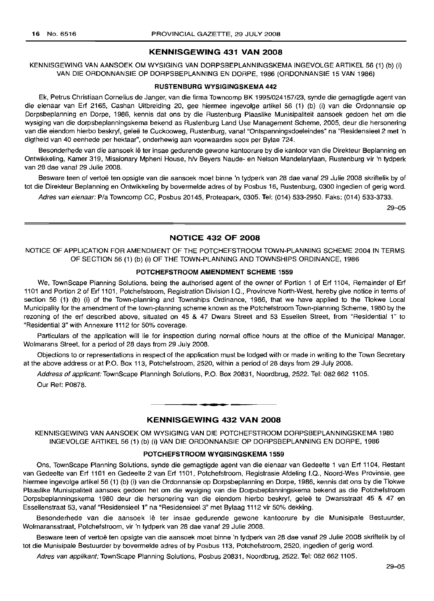### KENNISGEWING 431 VAN 2008

KENNISGEWING VAN AANSOEK OM WYSIGING VAN DORPSBEPLANNINGSKEMA INGEVOLGE ARTIKEL 56 (1) (b) (i) VAN DIE ORDONNANSIE OP DORPSBEPLANNING EN DORPE, 1986 (ORDONNANSIE 15 VAN 1986)

#### RUSTENBURG WYSIGINGSKEMA 442

Ek, Petrus Christiaan Cornelius de Janger, van die firma Towncomp BK 1995/024157/23, synde die gemagtigde agent van die eienaar van Erf 2165, Cashan Uitbreiding 20, gee hiermee ingevolge artikel 56 (1) (b) (i) van die Ordonnansie op Dorpsbeplanning en Dorpe, 1986, kennis dat ons by die Rustenburg Plaaslike Munisipaliteit aansoek gedoen het om die wysiging van die dorpsbeplanningskema bekend as Rustenburg Land Use Management Scheme, 2005, deur die hersonering van die eiendom hierbo beskryf, geleë te Cuckooweg, Rustenburg, vanaf "Ontspanningsdoeleindes" na "Residensieel 2 met 'n digtheid van 40 eenhede per hektaar", onderhewig aan voorwaardes soos per Bylae 724.

Besonderhede van die aansoek lê ter insae gedurende gewone kantoorure by die kantoor van die Direkteur Beplanning en Ontwikkeling, Kamer 319, Missionary Mpheni House, hlv Beyers Naude- en Nelson Mandelarylaan, Rustenburg vir 'n tydperk van 28 dae vanaf 29 Julie 2008.

Besware teen of vertoë ten opsigte van die aansoek moet binne 'n tydperk van 28 dae vanaf 29 Julie 2008 skriftelik by of tot die Direkteur Beplanning en Ontwikkeling by bovermelde adres of by Posbus 16, Rustenburg, 0300 ingedien of gerig word.

Adres van eienaar: PIa Towncomp CC, Posbus 20145, Proteapark, 0305. Tel: (014) 533-2950. Faks: (014) 533-3733.

29-05

# NOTICE 432 OF 2008

NOTICE OF APPLICATION FOR AMENDMENT OF THE POTCHEFSTROOM TOWN-PLANNING SCHEME 2004 IN TERMS OF SECTION 56 (1) (b) (i) OF THE TOWN-PLANNING AND TOWNSHIPS ORDINANCE, 1986

### POTCHEFSTROOM AMENDMENT SCHEME 1559

We, TownScape Planning Solutions, being the authorised agent of the owner of Portion 1 of Erf 1104, Remainder of Erf 1101 and Portion 2 of Erf 1101, Potchefstroom, Registration Division I.Q., Provincve North-West, hereby give notice in terms of section 56 (1) (b) (i) of the Town-planning and Townships Ordinance, 1986, that we have applied to the Tlokwe Local Municipality for the amendment of the town-planning scheme known as the Potchefstroom Town-planning Scheme, 1980 by the rezoning of the erf described above, situated on 45 & 47 Dwars Street and 53 Essellen Street, from "Residential 1" to "Residential 3" with Annexure 1112 for 50% coverage.

Particulars of the application will lie for inspection during normal office hours at the office of the Municipal Manager, Wolmarans Street, for a period of 28 days from 29 July 2008.

Objections to or representations in respect of the application must be lodged with or made in writing to the Town Secretary at the above address or at P.O. Box 113, Potchefstroom, 2520, within a period of 28 days from 29 July 2008.

Address of applicant: TownScape Planningh Solutions, P.O. Box 20831, Noordbrug, 2522. Tel: 082 662 1105. Our Ref: P0878.

# KENNISGEWING 432 VAN 2008

**•**

KENNISGEWING VAN AANSOEK OM WYSIGING VAN DIE POTCHEFSTROOM DORPSBEPLANNINGSKEMA 1980 INGEVOLGE ARTIKEL 56 (1) (b) (i) VAN DIE ORDONNANSIE OP DORPSBEPLANNING EN DORPE, 1986

# POTCHEFSTROOM WYGISINGSKEMA 1559

Ons, TownScape Planning Solutions, synde die gemagtigde agent van die eienaar van Gedeelte 1 van Erf 1104, Restant van Gedeelte van Erf 1101 en Gedeelte 2 van Erf 1101, Potchefstroom, Registrasie Afdeling I.Q., Noord-Wes Provinsie, gee hiermee ingevolge artikel 56 (1) (b) (i) van die Ordonnansie op Dorpsbeplanning en Dorpe, 1986, kennis dat ons by die Tlokwe Plaaslike Munisipaliteit aansoek gedoen het om die wysiging van die Dorpsbeplanningskema bekend as die Potchefstroom Dorpsbeplanningskema 1980 deur die hersonering van die eiendom hierbo beskryf, geleë te Dwarsstraat 45 & 47 en Essellenstraat 53, vanaf "Residensieel 1" na "Residensieel 3" met Bylaag 1112 vir 50% dekking.

Besonderhede van die aansoek lê ter insae gedurende gewone kantoorure by die Munisipale Bestuurder, Wolmaransstraat, Potchefstroom, vir 'n tydperk van 28 dae vanaf 29 Julie 2008.

Besware teen of vertoë ten opsigte van die aansoek moet binne 'n tydperk van 28 dae vanaf 29 Julie 2008 skriftelik by of tot die Munisipale Bestuurder by bovermelde adres of by Posbus 113, Potchefstroom, 2520, ingedien of gerig word.

Adres van applikant: TownScape Planning Solutions, Posbus 20831, Noordbrug, 2522. Tel: 082 662 1105.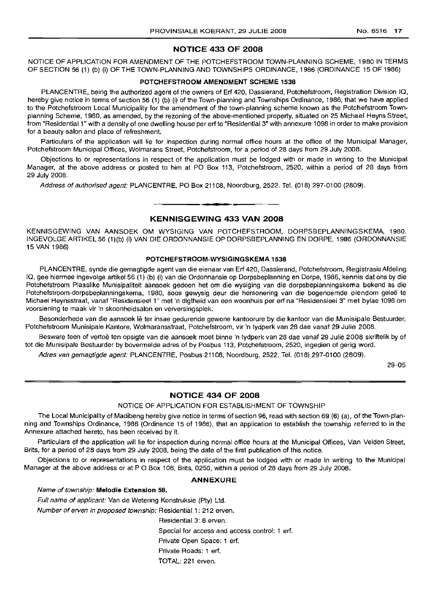# **NOTICE 433 OF 2008**

NOTICE OF APPLICATION FOR AMENDMENT OF THE POTCHEFSTROOM TOWN-PLANNING SCHEME, 1980 IN TERMS OF SECTION 56 (1) (b) (i) OF THE TOWN-PLANNING AND TOWNSHIPS ORDINANCE, 1986 (ORDINANCE 15 OF 1986)

# **POTCHEFSTROOM AMENDMENT SCHEME 1538**

PLANCENTRE, being the authorized agent of the owners of Erf 420, Dassierand, Potchefstroom, Registration Division IQ, hereby give notice in terms of section 56 (1) (b) (i) of the Town-planning and Townships Ordinance, 1986, that we have applied to the Potchefstroom Local Municipality for the amendment of the town-planning scheme known as the Potchefstroom Townplanning Scheme, 1980, as amended, by the rezoning of the above-mentioned property, situated on 25 Michael Heyns Street, from "Residential 1" with a density of one dwelling house per erf to "Residential 3" with annexure 1098 in order to make provision for a beauty salon and place of refreshment.

Particulars of the application will lie for inspection during normal office hours at the office of the Municipal Manager, Potchefstroom Municipal Offices, Wolmarans Street, Potchefstroom, for a period of 28 days from 29 July 2008.

Objections to or representations in respect of the application must be lodged with or made in writing to the Municipal Manager, at the above address or posted to him at PO Box 113, Potchefstroom, 2520, within a period of 28 days from 29 July 2008.

Address of authorised agent: PLANCENTRE, PO Box 21108, Noordburg, 2522. Tel. (018) 297-0100 (2809).

# **• KENNISGEWING 433 VAN 2008**

KENNISGEWING VAN AANSOEK OM WYSIGING VAN POTCHEFSTROOM, DORPSBEPLANNINGSKEMA, 1980. INGEVOLGE ARTIKEL 56 (1)(b) (i) VAN DIE ORDONNANSIE OP DORPSBEPLANNING EN DORPE, 1986 (ORDONNANSIE 15 VAN 1986)

# **POTCHEFSTROOM-WYSIGINGSKEMA 1538**

PLANCENTRE, synde die gemagtigde agent van die eienaar van Erf 420, Dassierand, Potchefstroom, Registrasie Afdeling IQ, gee hiermee ingevolge artikel 56 (1) (b) (i) van die Ordonnansie op Dorpsbeplanning en Dorpe, 1986, kennis dat ons by die Potchefstroom Plaaslike Munisipaliteit aansoek gedoen het om die wysiging van die dorpsbeplanningskema bekend as die Potchefstroom-dorpsbeplanningskema, 1980, soos gewysig deur die hersonering van die bogenoemde eiendom geleë te Michael Heynsstraat, vanaf "Residensieel 1" met 'n digtheid van een woonhuis per erf na "ResidensieeJ 3" met bylae 1098 om voorsiening te maak vir 'n skoonheidsalon en verversingsplek.

Besonderhede van die aansoek lê ter insae gedurende gewone kantoorure by die kantoor van die Munisipale Bestuurder, Potchefstroom Munisipale Kantore, Wolmaransstraat, Potchefstroom, vir 'n tydperk van 28 dae vanaf 29 Julie 2008.

Besware teen of vertoë ten opsigte van die aansoek moet binne 'n tydperk van 28 dae vanaf 29 Julie 2008 skriftelik by of tot die Munisipale Bestuurder by bovermelde adres of by Posbus 113, Potchefstroom, 2520, ingedien of gerig word.

Adres van gemagtigde agent: PLANCENTRE, Posbus 21108, Noordburg, 2522. Tel. (018) 297-0100 (2809).

29-05

# **NOTICE 434 OF 2008**

NOTICE OF APPLICATION FOR ESTABLISHMENT OF TOWNSHIP

The Local Municipality of Madibeng hereby give notice in terms of section 96, read with section 69 (6) (a), of the Town-planning and Townships Ordinance, 1986 (Ordinance 15 of 1986), that an application to establish the township referred to in the Annexure attached hereto, has been received by it.

Particulars of the application will lie for inspection during normal office hours at the Municipal Offices, Van Velden Street, Brits, for a period of 28 days from 29 July 2008, being the date of the first publication of this notice.

Objections to or representations in respect of the application must be lodged with or made in writing to the Municipal Manager at the above address or at P O Box 106, Brits, 0250, within a period of 28 days from 29 July 2008.

# **ANNEXURE**

Name of township: **Melodie Extension** 58.

Full name of applicant: Van de Wetering Konstruksie (Pty) Ltd.

Number of erven in proposed township: Residential 1: 212 erven.

Residential 3: 6 erven.

Special for access and access control: 1 erf.

Private Open Space: 1 erf.

Private Roads: 1 erf.

# TOTAL: 221 erven.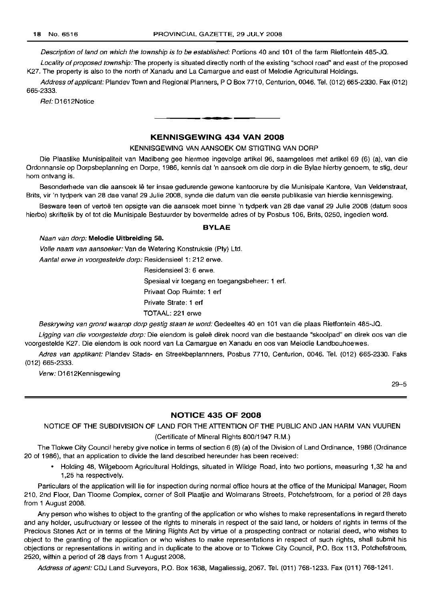Description of land on which the township is to be established: Portions 40 and 101 of the farm Rietfontein 485-JQ.

Locality of proposed township: The property is situated directly north of the existing "school road" and east of the proposed K27. The property is also to the north of Xanadu and La Camargue and east of Melodie Agricultural Holdings.

Address of applicant: Plandev Town and Regional Planners, P O Box 7710, Centurion, 0046. Tel. (012) 665-2330. Fax (012) 665-2333.

Ref: D1612Notice

# KENNISGEWING 434 VAN 2008

**I •**

KENNISGEWING VAN AANSOEK OM STIGTING VAN DORP

Die Plaaslike Munisipaliteit van Madibeng gee hiermee ingevolge artikel 96, saamgelees met artikel 69 (6) (a), van die Ordonnansie op Dorpsbeplanning en Dorpe, 1986, kennis dat 'n aansoek om die dorp in die Bylae hierby genoem, te stig, deur hom ontvang is.

Besonderhede van die aansoek lê ter insae gedurende gewone kantoorure by die Munisipale Kantore, Van Veldenstraat, Brits, vir 'n tydperk van 28 dae vanaf 29 Julie 2008, synde die datum van die eerste publikasie van hierdie kennisgewing.

Besware teen of vertoë ten opsigte van die aansoek moet binne 'n tydperk van 28 dae vanaf 29 Julie 2008 (datum soos hierbo) skriftelik by of tot die Munisipale Bestuurder by bovermelde adres of by Posbus 106, Brits, 0250, ingedien word.

#### BYLAE

#### Naan van dorp: Melodie Uitbreiding 58.

Volle naam van aansoeker: Van de Wetering Konstruksie (Pty) Ltd.

Aantal erwe in voorgestelde dorp: Residensieel 1: 212 erwe.

Residensieel 3: 6 erwe.

Spesiaal vir toegang en toegangsbeheer: 1 erf.

Privaat Oop Ruimte: 1 erf

Private Strate: 1 erf

TOTAAL: 221 erwe

Beskrywing van grond waarop dorp gestig staan te word: Gedeeltes 40 en 101 van die plaas Rietfontein 485-JQ.

Ligging van die voorgestelde dorp: Die eiendom is geleë direk noord van die bestaande "skoolpad" en direk oos van die voorgestelde K27. Die eiendom is ook noord van La Camargue en Xanadu en oos van Melodie Landbouhoewes.

Adres van applikant: Plandev Stads- en Streekbeplannners, Posbus 7710, Centurion, 0046. Tel. (012) 665-2330. Faks (012) 665-2333.

Verw: D1612Kennisgewing

29-5

# NOTICE 435 OF 2008

NOTICE OF THE SUBDIVISION OF LAND FOR THE ATTENTION OF THE PUBLIC AND JAN HARM VAN VUUREN

### (Certificate of Mineral Rights 800/1947 R.M.)

The Tlokwe City Council hereby give notice in terms of section 6 (8) (a) of the Division of Land Ordinance, 1986 (Ordinance 20 of 1986), that an application to divide the land described hereunder has been received:

• Holding 48, Wilgeboom Agricultural Holdings, situated in Wildge Road, into two portions, measuring 1,32 ha and 1,25 ha respectively.

Particulars of the application will lie for inspection during normal office hours at the office of the Municipal Manager, Room 210, 2nd Floor, Dan Tloome Complex, corner of Soli Plaatjie and Wolmarans Streets, Potchefstroom, for a period of 28 days from 1 August 2008.

Any person who wishes to object to the granting of the application or who wishes to make representations in regard thereto and any holder, usufructuary or lessee of the rights to minerals in respect of the said land, or holders of rights in terms of the Precious Stones Act or in terms of the Mining Rights Act by virtue of a prospecting contract or notarial deed, who wishes to object to the granting of the application or who wishes to make representations in respect of such rights, shall submit his objections or representations in writing and in duplicate to the above or to Tlokwe City Council, P.O. Box 113, Potchefstroom, 2520, within a period of 28 days from 1 August 2008.

Address of agent: CDJ Land Surveyors, P.O. Box 1638, Magaliessig, 2067. Tel. (011) 768-1233. Fax (011) 768-1241.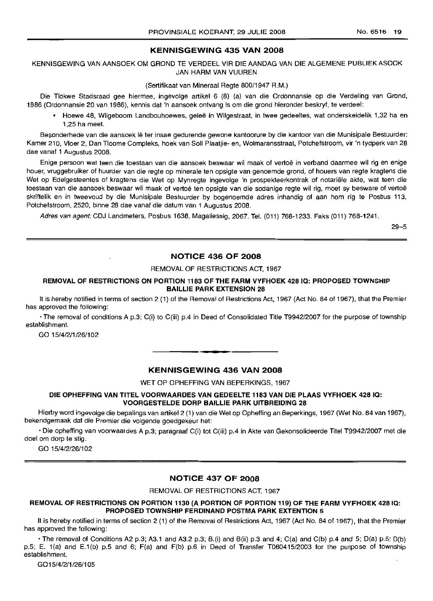# KENNISGEWING 435 VAN 2008

KENNISGEWING VAN AANSOEK OM GROND TE VERDEEL VIR DIE AANDAG VAN DIE ALGEMENE PUBLIEK ASOOK JAN HARM VAN VUUREN

(Sertifikaat van Mineraal Regte 800/1947 R.M.)

Die Tlokwe Stadsraad gee hiermee, ingevolge artikel 6 (8) (a) van die Ordonnansie op die Verdeling van Grond, 1986 (Ordonnansie 20 van 1986), kennis dat 'n aansoek ontvang is om die grond hieronder beskryf, te verdeel:

• Hoewe 48, Wilgeboom Landbouhoewes, geleë in Wilgestraat, in twee gedeeltes, wat onderskeidelik 1,32 ha en 1,25 ha meet.

Besonderhede van die aansoek lê ter insae gedurende gewone kantoorure by die kantoor van die Munisipale Bestuurder: Kamer 210, Vloer 2, Dan Tloome Compleks, hoek van Soli Plaatjie- en, Wolmaransstraat, Potchefstroom, vir 'n tydperk van 28 dae vanaf 1 Augustus 2008.

Enige persoon wat teen die toestaan van die aansoek beswaar wil maak of vertoë in verband daarmee wil rig en enige houer, vruggebruiker of huurder van die regte op minerale ten opsigte van genoemde grond, of houers van regte kragtens die Wet op Edelgesteentes of kragtens die Wet op Mynregte ingevolge 'n prospekteerkontrak of notariele akte, wat teen die toestaan van die aansoek beswaar wil maak of vertoë ten opsigte van die sodanige regte wil rig, moet sy besware of vertoë skriftelik en in tweevoud by die Munisipale Bestuurder by bogenoemde adres inhandig of aan hom rig te Posbus 113, Potchefstroom, 2520, binne 28 dae vanaf die datum van 1 Augustus 2008.

Adres van agent:CDJ Landmeters, Posbus 1638, Magaliessig, 2067. Tel. (011) 768-1233. Faks (011) 768-1241.

29-5

# NOTICE 436 OF 2008

#### REMOVAL OF RESTRICTIONS ACT, 1967

# REMOVAL OF RESTRICTIONS ON PORTION 1183 OF THE FARM VYFHOEK 4281Q: PROPOSED TOWNSHIP BAILLIE PARK EXTENSION 28

It is hereby notified in terms of section 2 (1) of the Removal of Restrictions Act, 1967 (Act No. 84 of 1967), that the Premier has approved the following:

• The removal of conditions A p.3; C(i) to C(iii) pA in Deed of Consolidated Title T9942/2007 for the purpose of township establishment.

GO 15/4/2/1/26/102

# KENNISGEWING 436 VAN 2008

.**- .**

WET OP OPHEFFING VAN BEPERKINGS, 1967

# DIE OPHEFFING VAN TITEL VOORWAARDES VAN GEDEELTE 1183 VAN DIE PLAAS VYFHOEK 428 IQ: VOORGESTELDE DORP BAILLIE PARK UITBREIDING 28

Hierby word ingevolge die bepalings van artikel 2 (1) van die Wet op Opheffing an Beperkings, 1967 (Wet No. 84 van 1967), bekendgemaak dat die Premier die volgende goedgekeur het

• Die opheffing van voorwaardes A p.3; paragraaf C(i) tot C(iii) pA in Akte van Gekonsolideerde Titel T9942/2007 met die doeI om dorp te stig.

GO 15/4/2/26/102

# NOTICE 437 OF 2008

REMOVAL OF RESTRICTIONS ACT, 1967

### REMOVAL OF RESTRICTIONS ON PORTION 1130 (A PORTION OF PORTION 119) OF THE FARM VYFHOEK 4281Q: PROPOSED TOWNSHIP FERDINAND POSTMA PARK EXTENTION 5

It is hereby notified in terms of section 2 (1) of the Removal of Restrictions Act, 1967 (Act No. 84 of 1967), that the Premier has approved the following:

 $\cdot$  The removal of Conditions A2 p.3; A3.1 and A3.2 p.3; B.(i) and B(ii) p.3 and 4; C(a) and C(b) p.4 and 5; D(a) p.5; D(b) p.5; E. 1(a) and E.1(b) p.5 and 6; F(a) and F(b) p.6 in Deed of Transfer T060415/2003 for the purpose of township establishment.

G015/4/2/1 /26/105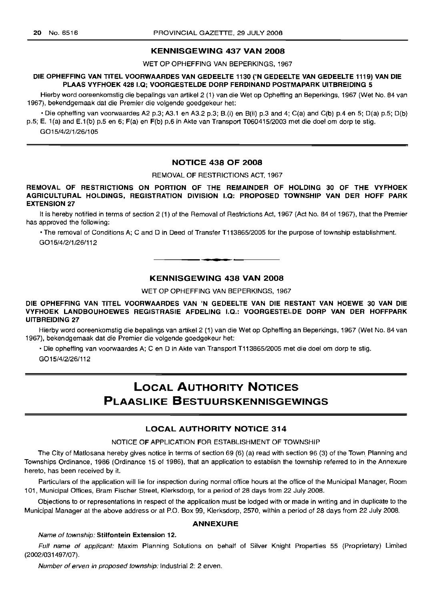# KENNISGEWING 437 VAN 2008

WET OP OPHEFFING VAN BEPERKINGS, 1967

# DIE OPHEFFING VAN TITEL VOORWAARDES VAN GEDEELTE 1130 ('N GEDEELTE VAN GEDEELTE 1119) VAN DIE PLAAS VYFHOEK 428 1.0; VOORGESTELDE DORP FERDINAND POSTMAPARK UITBREIDING 5

Hierby word ooreenkomstig die bepalings van artikel2 (1) van die Wet op Opheffing an Beperkings, 1967 (Wet No. 84 van 1967), bekendgemaak dat die Premier die volgende goedgekeur het:

 $\cdot$  Die opheffing van voorwaardes A2 p.3; A3.1 en A3.2 p.3; B.(i) en B(ii) p.3 and 4; C(a) and C(b) p.4 en 5; D(a) p.5; D(b) p.5; E. 1(a) and E.1(b) p.5 en 6; F(a) en F(b) p.6 in Akte van Transport T060415/2003 met die doel om dorp te stig. G015/4/2/1 /26/105

# NOTICE 438 OF 2008

REMOVAL OF RESTRICTIONS ACT, 1967

# REMOVAL OF RESTRICTIONS ON PORTION OF THE REMAINDER OF HOLDING 30 OF THE VYFHOEK AGRICULTURAL HOLDINGS, REGISTRATION DIVISION 1.0: PROPOSED TOWNSHIP VAN DER HOFF PARK EXTENSION 27

It is hereby notified in terms of section 2 (1) of the Removal of Restrictions Act, 1967 (Act No. 84 of 1967), that the Premier has approved the following:

• The removal of Conditions A; C and D in Deed of Transfer T113865/2005 for the purpose of township establishment. G015/4/2/1/26/112

# KENNISGEWING 438 VAN 2008

•

WET OP OPHEFFING VAN BEPERKINGS, 1967

# DIE OPHEFFING VAN TITEL VOORWAARDES VAN 'N GEDEELTE VAN DIE RESTANT VAN HOEWE 30 VAN DIE VYFHOEK LANDBOUHOEWES REGISTRASIE AFDELING 1.0.: VOORGESTELDE DORP VAN DER HOFFPARK UITBREIDING 27

Hierby word ooreenkomstig die bepalings van artikel 2 (1) van die Wet op Opheffing an Beperkings, 1967 (Wet No. 84 van 1967), bekendgemaak dat die Premier die volgende goedgekeur het:

• Die opheffing van voorwaardes A; C en D in Akte van Transport T113865/2005 met die doel om dorp te stig.

G015/4/2/26/112

# LOCAL AUTHORITY NOTICES PLAASLIKE BESTUURSKENNISGEWINGS

# LOCAL AUTHORITY NOTICE 314

# NOTICE OF APPLICATION FOR ESTABLISHMENT OF TOWNSHIP

The City of Matlosana hereby gives notice in terms of section 69 (6) (a) read with section 96 (3) of the Town Planning and Townships Ordinance, 1986 (Ordinance 15 of 1986), that an application to establish the township referred to in the Annexure hereto, has been received by it.

Particulars of the application will lie for inspection during normal office hours at the office of the Municipal Manager, Room 101, Municipal Offices, Bram Fischer Street, Klerksdorp, for a period of 28 days from 22 July 2008.

Objections to or representations in respect of the application must be lodged with or made in writing and in duplicate to the Municipal Manager at the above address or at P.O. Box 99, Klerksdorp, 2570, within a period of 28 days from 22 July 2008.

# ANNEXURE

#### Name of township: Stilfontein Extension 12.

Full name of applicant: Maxim Planning Solutions on behalf of Silver Knight Properties 55 (Proprietary) Limited (2002/031497/07).

Number of erven in proposed township: Industrial 2: 2 erven.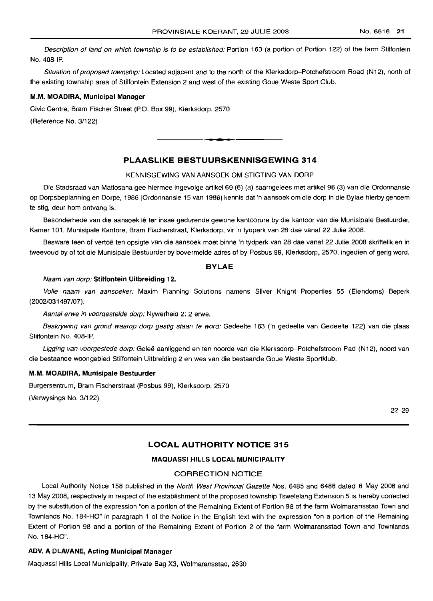Description of land on which township is to be established: Portion 163 (a portion of Portion 122) of the farm Stilfontein No.408-IP.

Situation of proposed township: Located adjacent and to the north of the Klerksdorp-Potchefstroom Road (N12), north of the existing township area of Stilfontein Extension 2 and west of the existing Goue Weste Sport Club.

#### M.M. MOADIRA, Municipal Manager

Civic Centre, Bram Fischer Street (P.O. Box 99), Klerksdorp, 2570

(Reference No. 3/122)

# PLAASLIKE BESTUURSKENNISGEWING 314

**- .**

#### KENNISGEWING VAN AANSOEK OM STIGTING VAN DORP

Die Stadsraad van Matlosana gee hiermee ingevolge artikel 69 (6) (a) saamgelees met artikel 96 (3) van die Ordonnansie op Dorpsbeplanning en Dorpe, 1986 (Ordonnansie 15 van 1986) kennis dat 'n aansoek om die dorp in die Bylae hierby genoem te stig, deur hom ontvanq is.

Besonderhede van die aansoek lê ter insae gedurende gewone kantoorure by die kantoor van die Munisipale Bestuurder, Kamer 101, Munisipale Kantore, Bram Fischerstraat, Klerksdorp, vir 'n tydperk van 28 dae vanaf 22 Julie 2008.

Besware teen of vertoë ten opsigte van die aansoek moet binne 'n tydperk van 28 dae vanaf 22 Julie 2008 skriftelik en in tweevoud by of tot die Munisipale Bestuurder by bovermelde adres of by Posbus 99, Klerksdorp, 2570, ingedien of gerig word.

### BYLAE

#### Naam van dorp: Stilfontein Uitbreiding 12.

Volle naam van aansoeker: Maxim Planning Solutions namens Silver Knight Properties 55 (Eiendoms) Beperk (2002/031497/07).

Aantal erwe in voorgestelde dorp: Nywerheid 2: 2 erwe.

Beskrywing van grond waarop dorp gestig staan te word: Gedeelte 163 ('n gedeelte van Gedeelte 122) van die plaas Stilfontein No. 408-IP.

Ligging van voorgestede dorp: Geleë aanliggend en ten noorde van die Klerksdorp-Potchefstroom Pad (N12), noord van die bestaande woongebied Stilfontein Uitbreiding 2 en wes van die bestaande Goue Weste Sportklub.

#### M.M. MOADIRA, Munisipale Bestuurder

Burgersentrum, Bram Fischerstraat (Posbus 99), Klerksdorp, 2570

(Verwysings No. 3/122)

22-29

# LOCAL AUTHORITY NOTICE 315

### MAQUASSI HILLS LOCAL MUNICIPALITY

# CORRECTION NOTICE

Local Authority Notice 158 published in the North West Provincial Gazette Nos. 6485 and 6486 dated 6 May 2008 and 13 May 2008, respectively in respect of the establishment of the proposed township Tswelelang Extension 5 is hereby corrected by the substitution of the expression "on a portion of the Remaining Extent of Portion 98 of the farm Wolmaransstad Town and Townlands No. 184-HO" in paragraph 1 of the Notice in the English text with the expression "on a portion of the Remaining Extent of Portion 98 and a portion of the Remaining Extent of Portion 2 of the farm Wolmaransstad Town and Townlands No. 184-HO".

# ADV. A DLAVANE, Acting Municipal Manager

Maquassi Hills Local Municipality, Private Bag X3, Wolmaransstad, 2630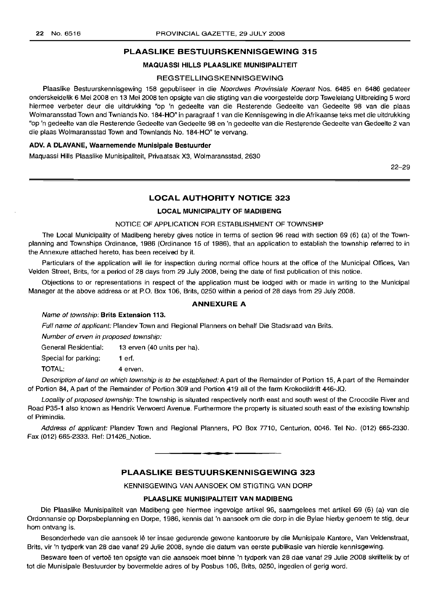### PLAASLIKE BESTUURSKENNISGEWING 315

#### MAQUASSI HILLS PLAASLIKE MUNISIPALITEIT

### **REGSTELLINGSKENNISGEWING**

Plaaslike Bestuurskennisgewing 158 gepubliseer in die Noordwes Provinsiale Koerant Nos. 6485 en 6486 gedateer onderskeidelik 6 Mei 2008 en 13 Mei 2008 ten opsigte van die stigting van die voorgestelde dorp Tswelelang Uitbreiding 5 word hiermee verbeter deur die uitdrukking "op 'n gedeelte van die Resterende Gedeelte van Gedeelte 98 van die plaas Wolmaransstad Town and Twnlands No. 184-HO" in paragraaf 1 van die Kennisgewing in die Afrikaanse teks met die uitdrukking "op 'n gedeelte van die Resterende Gedeelte van Gedeelte 98 en 'n gedeelte van die Resterende Gedeelte van Gedeelte 2 van die plaas Wolmaransstad Town and Townlands No. 184-HO" te vervang.

#### ADV. A DLAVANE, Waarnemende Munisipale Bestuurder

Maquassi Hills Plaaslike Munisipaliteit, Privaatsak X3, Wolmaransstad, 2630

22-29

# LOCAL AUTHORITY NOTICE 323

#### LOCAL MUNICIPALITY OF MADIBENG

#### NOTICE OF APPLICATION FOR ESTABLISHMENT OF TOWNSHIP

The Local Municipality of Madibeng hereby gives notice in terms of section 96 read with section 69 (6) (a) of the Townplanning and Townships Ordinance, 1986 (Ordinance 15 of 1986), that an application to establish the township referred to in the Annexure attached hereto, has been received by it.

Particulars of the application will lie for inspection during normal office hours at the office of the Municipal Offices, Van Velden Street, Brits, for a period of 28 days from 29 July 2008, being the date of first publication of this notice.

Objections to or representations in respect of the application must be lodged with or made in writing to the Municipal Manager at the above address or at P.O. Box 106, Brits, 0250 within a period of 28 days from 29 July 2008.

# ANNEXURE A

#### Name of township: Brits Extension 113.

Full name of applicant: Plandev Town and Regional Planners on behalf Die Stadsraad van Brits.

Number of erven in proposed township:

General Residential: 13 erven (40 units per ha).

Special for parking: 1 erf.

TOTAL: 4 erven.

Description of land on which township is to be established: A part of the Remainder of Portion 15, A part of the Remainder of Portion 84, A part of the Remainder of Portion 309 and Portion 419 all of the farm Krokodildrift 446-JQ.

Locality of proposed township: The township is situated respectively north east and south west of the Crocodile River and Road P35-1 also known as Hendrik Verwoerd Avenue. Furthermore the property is situated south east of the existing township of Primindia.

Address of applicant: Plandev Town and Regional Planners, PO Box 7710, Centurion, 0046. Tel No. (012) 665-2330. Fax (012) 665-2333. Ref: D1426\_Notice.

• **- I**

# PLAASLIKE BESTUURSKENNISGEWING 323

KENNISGEWING VAN AANSOEK OM STIGTING VAN DORP

#### PLAASLIKE MUNISIPALITEIT VAN MADIBENG

Die Plaaslike Munisipaliteit van Madibeng gee hiermee ingevolge artikel 96, saamgelees met artikel 69 (6) (a) van die Ordonnansie op Dorpsbeplanning en Dorpe, 1986, kennis dat 'n aansoek om die dorp in die Bylae hierby genoem te stig, deur hom ontvang is.

Besonderhede van die aansoek Ie ter insae gedurende gewone kantoorure by die Munisipale Kantore, Van Veldenstraat, Brits, vir 'n tydperk van 28 dae vanaf 29 Julie 2008, synde die datum van eerste publikasie van hierdie kennisgewing.

Besware teen of vertoe ten opsigte van die aansoek moet binne 'n tydperk van 28 dae vanaf 29 Julie 2008 skriftelik by of tot die Munisipale Bestuurder by bovermelde adres of by Posbus 106, Brits, 0250, ingedien of gerig word.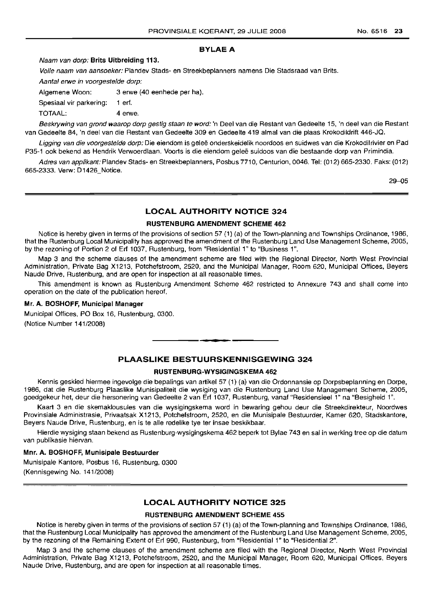# BYLAEA

# Naam van dorp: Brits Uitbreiding 113.

Volle naam van aansoeker: Plandev Stads- en Streekbeplanners namens Die Stadsraad van Brits.

Aantal erwe in voorgestelde dorp:

| Algemene Woon:          | 3 erwe (40 eenhede per ha). |
|-------------------------|-----------------------------|
| Spesiaal vir parkering: | 1 ert.                      |
| TOTAAL:                 | 4 erwe.                     |

Beskrywing van grond waarop dorp gestig staan te word: 'n Deel van die Restant van Gedeelte 15, 'n deel van die Restant van Gedeelte 84, 'n deel van die Restant van Gedeelte 309 en Gedeelte 419 almal van die plaas Krokodildrift 446-JQ.

Ligging van die voorgestelde dorp: Die eiendom is geleë onderskeidelik noordoos en suidwes van die Krokodilrivier en Pad P35-1 ook bekend as Hendrik Verwoerdlaan. Voorts is die eiendom gelee suidoos van die bestaande dorp van Primindia.

Adres van applikant: Plandev Stads- en Streekbeplanners, Posbus 7710, Centurion, 0046. Tel: (012) 665-2330. Faks: (012) 665-2333. Verw: D1426\_Notice.

 $29 - 05$ 

# LOCAL AUTHORITY NOTICE 324

# RUSTENBURG AMENDMENT SCHEME 462

Notice is hereby given in terms of the provisions of section 57 (1) (a) of the Town-planning and Townships Ordinance, 1986, that the Rustenburg Local Municipality has approved the amendment of the Rustenburg Land Use Management Scheme, 2005, by the rezoning of Portion 2 of Erf 1037, Rustenburg, from "Residential 1" to "Business 1".

Map 3 and the scheme clauses of the amendment scheme are filed with the Regional Director, North West Provincial Administration, Private Bag X1213, Potchefstroom, 2520, and the Municipal Manager, Room 620, Municipal Offices, Beyers Naude Drive, Rustenburg, and are open for inspection at all reasonable times.

This amendment is known as Rustenburg Amendment Scheme 462 restricted to Annexure 743 and shall come into operation on the date of the publication hereof.

# Mr. A. BOSHOFF, Municipal Manager

Municipal Offices, PO Box 16, Rustenburg, 0300. (Notice Number 141/2008)

# PLAASLIKE BESTUURSKENNISGEWING 324

# RUSTENBURG-WYSIGINGSKEMA 462

Kennis geskied hiermee ingevolge die bepalings van artikel 57 (1) (a) van die Ordonnansie op Dorpsbeplanning en Dorpe, 1986, dat die Rustenburg Plaaslike Munisipaliteit die wysiging van die Rustenburg Land Use Management Scheme, 2005, goedgekeur het, deur die hersonering van Gedeelte 2 van Erf 1037, Rustenburg, vanaf "Residensieel 1" na "Besigheid 1".

Kaart 3 en die skemaklousules van die wysigingskema word in bewaring gehou deur die Streekdirekteur, Noordwes Provinsiale Administrasie, Privaatsak X1213, Potchefstroom, 2520, en die Munisipale Bestuurder, Kamer 620, Stadskantore, Beyers Naude Drive, Rustenburg, en is te aile redelike tye ter insae beskikbaar.

Hierdie wysiging staan bekend as Rustenburg-wysigingskema 462 beperk tot Bylae 743 en sal in werking tree op die datum van publikasie hiervan.

# Mm. A. BOSHOFF, Munisipale Bestuurder

Munisipale Kantore, Posbus 16, Rustenburg, 0300 (Kennisgewing No. 141/2008)

#### LOCAL AUTHORITY NOTICE 325

#### RUSTENBURG AMENDMENT SCHEME 455

Notice is hereby given in terms of the provisions of section 57 (1) (a) of the Town-planning and Townships Ordinance, 1986, that the Rustenburg Local Municipality has approved the amendment of the Rustenburg Land Use Management Scheme, 2005, by the rezoning of the Remaining Extent of Erf 990, Rustenburg, from "Residential 1" to "Residential 2".

Map 3 and the scheme clauses of the amendment scheme are filed with the Regional Director, North West Provincial Administration, Private Bag X1213, Potchefstroom, 2520, and the Municipal Manager, Room 620, Municipal Offices, Beyers Naude Drive, Rustenburg, and are open for inspection at all reasonable times.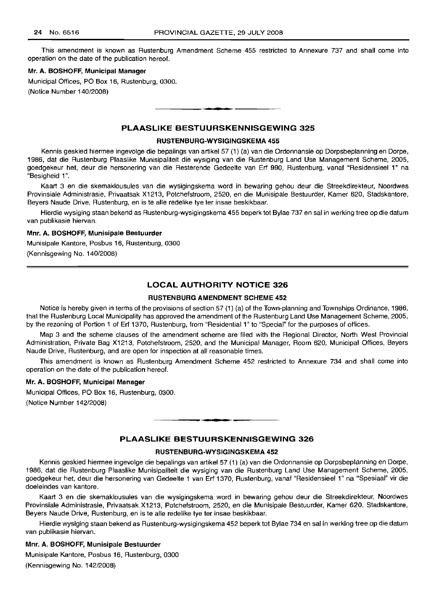This amendment is known as Rustenburg Amendment Scheme 455 restricted to Annexure 737 and shall come into operation on the date of the publication hereof.

# Mr. A. BOSHOFF, Municipal Manager

Municipal Offices, PO Box 16, Rustenburg, 0300. (Notice Number 140/2008)

# PLAASLIKE BESTUURSKENNISGEWING 325

**•**

# RUSTENBURG-WVSIGINGSKEMA 455

Kennis geskied hiermee ingevolge die bepalings van artikel 57 (1) (a) van die Ordonnansie op Dorpsbeplanning en Dorpe, 1986, dat die Rustenburg Plaaslike Munisipaliteit die wysiging van die Rustenburg Land Use Management Scheme, 2005, goedgekeur het, deur die hersonering van die Resterende Gedeelte van Erf 990, Rustenburg, vanaf "Residensieel 1" na "Besigheid 1".

Kaart 3 en die skemaklousules van die wysigingskema word in bewaring gehou deur die Streekdirekteur, Noordwes Provinsiale Administrasie, Privaatsak X1213, Potchefstroom, 2520, en die Munisipale Bestuurder, Kamer 620, Stadskantore, Beyers Naude Drive, Rustenburg, en is te aile redelike tye ter insae beskikbaar.

Hierdie wysiging staan bekend as Rustenburg-wysigingskema 455 beperk tot Bylae 737 en sal in werking tree op die datum van publikasie hiervan.

#### Mnr. A. BOSHOFF, Munisipale Bestuurder

Munisipale Kantore, Posbus 16, Rustenburg, 0300

(Kennisgewing No. 140/2008)

# LOCAL AUTHORITY NOTICE 326

#### RUSTENBURG AMENDMENT SCHEME 452

Notice is hereby given in terms of the provisions of section 57 (1) (a) of the Town-planning and Townships Ordinance, 1986, that the Rustenburg Local Municipality has approved the amendment of the Rustenburg Land Use Management Scheme, 2005, by the rezoning of Portion 1 of Erf 1370, Rustenburg, from "Residential 1" to "Special" for the purposes of offices.

Map 3 and the scheme clauses of the amendment scheme are filed with the Regional Director, North West Provincial Administration, Private Bag X1213, Potchefstroom, 2520, and the Municipal Manager, Room 620, Municipal Offices, Beyers Naude Drive, Rustenburg, and are open for inspection at all reasonable times.

This amendment is known as Rustenburg Amendment Scheme 452 restricted to Annexure 734 and shall come into operation on the date of the publication hereof.

# Mr. A. BOSHOFF, Municipal Manager

Municipal Offices, PO Box 16, Rustenburg, 0300.

(Notice Number 142/2008)

# PLAASLIKE BESTUURSKENNISGEWING 326

**• •**

#### RUSTENBURG-WVSIGINGSKEMA 452

Kennis geskied hiermee ingevolge die bepalings van artikel 57 (1) (a) van die Ordonnansie op Dorpsbeplanning en Dorpe, 1986, dat die Rustenburg Plaaslike Munisipaliteit die wysiging van die Rustenburg Land Use Management Scheme, 2005, goedgekeur het, deur die hersonering van Gedeelte 1 van Erf 1370, Rustenburg, vanaf "Residensieel 1" na "Spesiaal" vir die doeleindes van kantore.

Kaart 3 en die skemaklousules van die wysigingskema word in bewaring gehou deur die Streekdirekteur, Noordwes Provinsiale Administrasie, Privaatsak X1213, Potchefstroom, 2520, en die Munisipale Bestuurder, Kamer 620, Stadskantore, Beyers Naude Drive, Rustenburg, en is te aile redelike tye ter insae beskikbaar.

Hierdie wysiging staan bekend as Rustenburg-wysigingskema 452 beperk tot Bylae 734 en sal in werking tree op die datum van publikasie hiervan.

#### Mnr. A. BOSHOFF, Munisipale Bestuurder

Munisipale Kantore, Posbus 16, Rustenburg, 0300 (Kennisgewing No. 142/2008)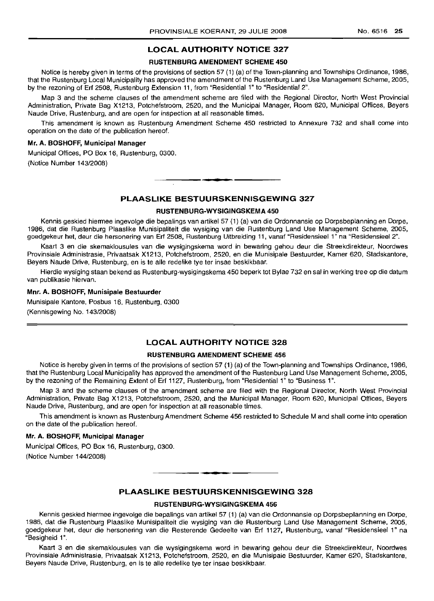# LOCAL AUTHORITY NOTICE 327

#### RUSTENBURG AMENDMENT SCHEME 450

Notice is hereby given in terms of the provisions of section 57 (1) (a) of the Town-planning and Townships Ordinance, 1986, that the Rustenburg Local Municipality has approved the amendment of the Rustenburg Land Use Management Scheme, 2005, by the rezoning of Erf 2508, Rustenburg Extension 11, from "Residential 1" to "Residential 2".

Map 3 and the scheme clauses of the amendment scheme are filed with the Regional Director, North West Provincial Administration, Private Bag X1213, Potchefstroom, 2520, and the Municipal Manager, Room 620, Municipal Offices, Beyers Naude Drive, Rustenburg, and are open for inspection at all reasonable times.

This amendment is known as Rustenburg Amendment Scheme 450 restricted to Annexure 732 and shall come into operation on the date of the publication hereof.

#### Mr. A. BOSHOFF, Municipal Manager

Municipal Offices, PO Box 16, Rustenburg, 0300. (Notice Number 143/2008)

# PLAASLIKE BESTULIRSKENNISGEWING 327

**I •**

#### RUSTENBURG-WYSIGINGSKEMA 450

Kennis geskied hiermee ingevolge die bepalings van artikel 57 (1) (a) van die Ordonnansie op Dorpsbeplanning en Dorpe, 1986, dat die Rustenburg Plaaslike Munisipaliteit die wysiging van die Rustenburg Land Use Management Scheme, 2005, goedgekeur het, deur die hersonering van Erf 2508, Rustenburg Uitbreiding 11, vanaf "Residensieel 1" na "Residensieel 2".

Kaart 3 en die skemaklousules van die wysigingskema word in bewaring gehou deur die Streekdirekteur, Noordwes Provinsiale Administrasie, Privaatsak X1213, Potchefstroom, 2520, en die Munisipale Bestuurder, Kamer 620, Stadskantore, Beyers Naude Drive, Rustenburg, en is te aile redelike tye ter insae beskikbaar.

Hierdie wysiging staan bekend as Rustenburg-wysigingskema 450 beperk tot Bylae 732 en sal in werking tree op die datum van publikasie hiervan.

# Mnr. A. BOSHOFF, Munisipale Bestuurder

Munisipale Kantore, Posbus 16, Rustenburg, 0300

(Kennisgewing No. 143/2008)

# LOCAL AUTHORITY NOTICE 328

### RUSTENBURG AMENDMENT SCHEME 456

Notice is hereby given in terms of the provisions of section 57 (1) (a) of the Town-planning and Townships Ordinance, 1986, that the Rustenburg Local Municipality has approved the amendment of the Rustenburg Land Use Management Scheme, 2005, by the rezoning of the Remaining Extent of Erf 1127, Rustenburg, from "Residential 1" to "Business 1",

Map 3 and the scheme clauses of the amendment scheme are filed with the Regional Director, North West Provincial Administration, Private Bag X1213, Potchefstroom, 2520, and the Municipal Manager, Room 620, Municipal Offices, Beyers Naude Drive, Rustenburg, and are open for inspection at all reasonable times.

This amendment is known as Rustenburg Amendment Scheme 456 restricted to Schedule M and shall come into operation on the date of the publication hereof.

#### Mr. A. BOSHOFF, Municipal Manager

Municipal Offices, PO Box 16, Rustenburg, 0300.

(Notice Number 144/2008)

# PLAASLIKE BESTUURSKENNISGEWING 328

**•**

#### RUSTENBURG-WYSIGINGSKEMA 456

Kennis geskied hiermee ingevolge die bepalings van artikel 57 (1) (a) van die Ordonnansie op Dorpsbeplanning en Dorpe, 1986, dat die Rustenburg Plaaslike Munisipaliteit die wysiging van die Rustenburg Land Use Management Scheme, 2005, goedgekeur het, deur die hersonering van die Resterende Gedeelte van Erf 1127, Rustenburg, vanaf "Residensieel 1" na "Besigheid 1".

Kaart 3 en die skemaklousules van die wysigingskema word in bewaring gehou deur die Streekdirekteur, Noordwes Provinsiale Administrasie, Privaatsak X1213, Potchefstroom, 2520, en die Munisipale Bestuurder, Kamer 620, Stadskantore, Beyers Naude Drive, Rustenburg, en is te aile redelike tye ter insae beskikbaar.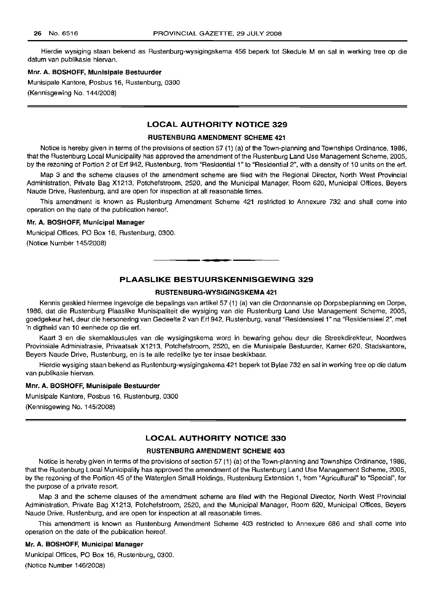Hierdie wysiging staan bekend as Rustenburg-wysigingskema 456 beperk tot Skedule M en sal in werking tree op die datum van publikasie hiervan.

# Mnr. A. BOSHOFF, Munisipale Bestuurder

Munisipale Kantore, Posbus 16, Rustenburg, 0300 (Kennisgewing No. 144/2008)

# LOCAL AUTHORITY NOTICE 329

#### RUSTENBURG AMENDMENT SCHEME 421

Notice is hereby given in terms of the provisions of section 57 (1) (a) of the Town-planning and Townships Ordinance, 1986, that the Rustenburg Local Municipality has approved the amendment of the Rustenburg Land Use Management Scheme, 2005, by the rezoning of Portion 2 of Erf 942, Rustenburg, from "Residential 1" to "Residential 2", with a density of 10 units on the erf.

Map 3 and the scheme clauses of the amendment scheme are filed with the Regional Director, North West Provincial Administration, Private Bag X1213, Potchefstroom, 2520, and the Municipal Manager, Room 620, Municipal Offices, Beyers Naude Drive, Rustenburg, and are open for inspection at all reasonable times.

This amendment is known as Rustenburg Amendment Scheme 421 restricted to Annexure 732 and shall come into operation on the date of the publication hereof.

#### Mr. A. BOSHOFF, Municipal Manager

Municipal Offices, PO Box 16, Rustenburg, 0300.

(Notice Number 145/2008)

# PLAASLIKE BESTUURSKENNISGEWING 329

**• •**

# RUSTENBURG-WYSIGINGSKEMA 421

Kennis geskied hiermee ingevolge die bepalings van artikel 57 (1) (a) van die Ordonnansie op Dorpsbeplanning en Dorpe, 1986, dat die Rustenburg Plaaslike Munisipaliteit die wysiging van die Rustenburg Land Use Management Scheme, 2005, goedgekeur het, deur die hersonering van Gedeelte 2 van Erf 942, Rustenburg, vanaf "ResidensieeI1" na "Residensieel 2", met 'n digtheid van 10 eenhede op die erf.

Kaart 3 en die skemaklousules van die wysigingskema word in bewaring gehou deur die Streekdirekteur, Noordwes Provinsiale Administrasie, Privaatsak X1213, Potchefstroom, 2520, en die Munisipale Bestuurder, Kamer 620, Stadskantore, Beyers Naude Drive, Rustenburg, en is te aile redelike tye ter insae beskikbaar.

Hierdie wysiging staan bekend as Rustenburg-wysigingskema 421 beperk tot Bylae 732 en sal in werking tree op die datum van publikasie hiervan.

# Mnr. A. BOSHOFF, Munisipale Bestuurder

Munisipale Kantore, Posbus 16, Rustenburg, 0300 (Kennisgewing No. 145/2008)

# LOCAL AUTHORITY NOTICE 330

# RUSTENBURG AMENDMENT SCHEME 403

Notice is hereby given in terms of the provisions of section 57 (1) (a) of the Town-planning and Townships Ordinance, 1986, that the Rustenburg Local Municipality has approved the amendment of the Rustenburg Land Use Management Scheme, 2005, by the rezoning of the Portion 45 of the Waterglen Small Holdings, Rustenburg Extension 1, from "Agricultural" to "Special", for the purpose of a private resort.

Map 3 and the scheme clauses of the amendment scheme are filed with the Regional Director, North West Provincial Administration, Private Bag X1213, Potchefstroom, 2520, and the Municipal Manager, Room 620, Municipal Offices, Beyers Naude Drive, Rustenburg, and are open for inspection at all reasonable times.

This amendment is known as Rustenburg Amendment Scheme 403 restricted to Annexure 686 and shall come into operation on the date of the publication hereof.

# Mr. A. BOSHOFF, Municipal Manager

Municipal Offices, PO Box 16, Rustenburg, 0300. (Notice Number 146/2008)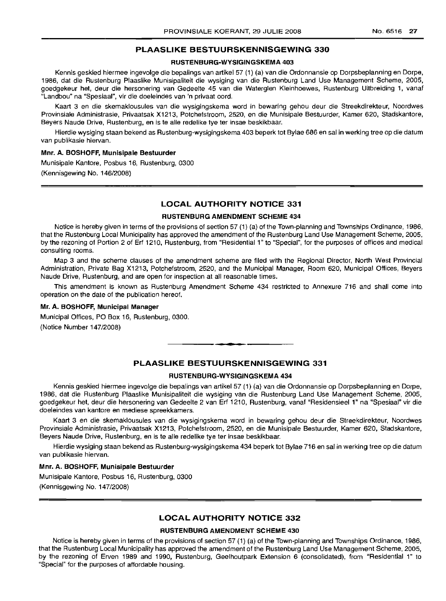# PLAASLIKE BESTUURSKENNISGEWING 330

#### RUSTENBURG-WYSIGINGSKEMA 403

Kennis geskied hiermee ingevolge die bepalings van artikel 57 (1) (a) van die Ordonnansie op Dorpsbeplanning en Dorpe, 1986, dat die Rustenburg Plaaslike Munisipaliteit die wysiging van die Rustenburg Land Use Management Scheme, 2005, goedgekeur het, deur die hersonering van Gedeelte 45 van die Waterglen Kleinhoewes, Rustenburg Uitbreiding 1, vanaf "Landbou" na "Spesiaal", vir die doeleindes van 'n privaat oord.

Kaart 3 en die skemaklousules van die wysigingskema word in bewaring gehou deur die Streekdirekteur, Noordwes Provinsiale Administrasie, Privaatsak X1213, Potchefstroom, 2520, en die Munisipale Bestuurder, Kamer 620, Stadskantore, Beyers Naude Drive, Rustenburg, en is te aile redelike tye ter insae beskikbaar.

Hierdie wysiging staan bekend as Rustenburg-wysigingskema 403 beperk tot Bylae 686 en sal in werking tree op die datum van publikasie hiervan.

# Mm. A. BOSHOFF, Munisipale Bestuurder

Munisipale Kantore, Posbus 16, Rustenburg, 0300 (Kennisgewing No. 146/2008)

# LOCAL AUTHORITY NOTICE 331

#### RUSTENBURG AMENDMENT SCHEME 434

Notice is hereby given in terms of the provisions of section 57 (1) (a) of the Town-planning and Townships Ordinance, 1986, that the Rustenburg Local Municipality has approved the amendment of the Rustenburg Land Use Management Scheme, 2005, by the rezoning of Portion 2 of Erf 1210, Rustenburg, from "Residential 1" to "Special", for the purposes of offices and medical consulting rooms.

Map 3 and the scheme clauses of the amendment scheme are filed with the Regional Director, North West Provincial Administration, Private Bag X1213, Potchefstroom, 2520, and the Municipal Manager, Room 620, Municipal Offices, Beyers Naude Drive, Rustenburg, and are open for inspection at all reasonable times.

This amendment is known as Rustenburg Amendment Scheme 434 restricted to Annexure 716 and shall come into operation on the date of the publication hereof.

### Mr. A. BOSHOFF, Municipal Manager

Municipal Offices, PO Box 16, Rustenburg, 0300. (Notice Number 147/2008)

# PLAASLIKE BESTUURSKENNISGEWING 331

.**-.**

# RUSTENBURG-WYSIGINGSKEMA 434

Kennis geskied hiermee ingevolge die bepalings van artikel 57 (1) (a) van die Ordonnansie op Dorpsbeplanning en Dorpe, 1986, dat die Rustenburg Plaaslike Munisipaliteit die wysiging van die Rustenburg Land Use Management Scheme, 2005, goedgekeur het, deur die hersonering van Gedeelte 2 van Erf 1210, Rustenburg, vanaf "Residensieel 1" na "Spesiaal" vir die doeleindes van kantore en mediese spreekkamers.

Kaart 3 en die skemaklousules van die wysigingskema word in bewaring gehou deur die Streekdirekteur, Noordwes Provinsiale Administrasie, Privaatsak X1213, Potchefstroom, 2520, en die Munisipale Bestuurder, Kamer 620, Stadskantore, Beyers Naude Drive, Rustenburg, en is te aile redelike tye ter insae beskikbaar.

Hierdie wysiging staan bekend as Rustenburg-wysigingskema 434 beperk tot Bylae 716 en sal in werking tree op die datum van publikasie hiervan.

#### Mnr. A. BOSHOFF, Munisipale Bestuurder

Munisipale Kantore, Posbus 16, Rustenburg, 0300 (Kennisgewing No. 147/2008)

# LOCAL AUTHORITY NOTICE 332

#### RUSTENBURG AMENDMENT SCHEME 430

Notice is hereby given in terms of the provisions of section 57 (1) (a) of the Town-planning and Townships Ordinance, 1986, that the Rustenburg Local Municipality has approved the amendment of the Rustenburg Land Use Management Scheme, 2005, by the rezoning of Erven 1989 and 1990, Rustenburg, Geelhoutpark Extension 6 (consolidated), from "Residential 1" to "Special" for the purposes of affordable housing.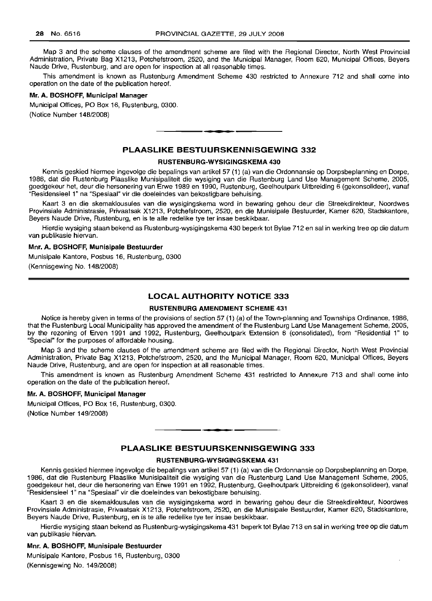Map 3 and the scheme clauses of the amendment scheme are filed with the Regional Director, North West Provincial Administration, Private Bag X1213, Potchefstroom, 2520, and the Municipal Manager, Room 620, Municipal Offices, Beyers Naude Drive, Rustenburg, and are open for inspection at all reasonable times.

This amendment is known as Rustenburg Amendment Scheme 430 restricted to Annexure 712 and shall come into operation on the date of the publication hereof.

#### **Mr. A. BOSHOFF, Municipal Manager**

Municipal Offices, PO Box 16, Rustenburg, 0300. (Notice Number 148/2008)

# **PLAASLIKE BESTUURSKENNISGEWING 332**

**••**

#### **RUSTENBURG-WVSIGINGSKEMA 430**

Kennis geskied hiermee ingevolge die bepalings van artikel 57 (1) (a) van die Ordonnansie op Dorpsbeplanning en Dorpe, 1986, dat die Rustenburg Plaaslike Munisipaliteit die wysiging van die Rustenburg Land Use Management Scheme, 2005, goedgekeur het, deur die hersonering van Erwe 1989 en 1990, Rustenburg, Geelhoutpark Uitbreiding 6 (gekonsolideer), vanaf "Residensieel 1" na "Spesiaal" vir die doeleindes van bekostigbare behuising.

Kaart 3 en die skemaklousules van die wysigingskema word in bewaring gehou deur die Streekdirekteur, Noordwes Provinsiale Administrasie, Privaatsak X1213, Potchefstroom, 2520, en die Munisipale Bestuurder, Kamer 620, Stadskantore, Beyers Naude Drive, Rustenburg, en is te aile redelike tye ter insae beskikbaar.

Hierdie wysiging staan bekend as Rustenburg-wysigingskema 430 beperk tot Bylae 712 en sal in werking tree op die datum van publikasie hiervan.

### **Mnr. A. BOSHOFF, Munisipale Bestuurder**

Munisipale Kantore, Posbus 16, Rustenburg, 0300 (Kennisgewing No. 148/2008)

# **LOCAL AUTHORITY NOTICE 333**

#### **RUSTENBURG AMENDMENT SCHEME 431**

Notice is hereby given in terms of the provisions of section 57 (1) (a) of the Town-planning and Townships Ordinance, 1986, that the Rustenburg Local Municipality has approved the amendment of the Rustenburg Land Use Management Scheme, 2005, by the rezoning of Erven 1991 and 1992, Rustenburg, Geelhoutpark Extension 6 (consolidated), from "Residential 1" to "Special" for the purposes of affordable housing.

Map 3 and the scheme clauses of the amendment scheme are filed with the Regional Director, North West Provincial Administration, Private Bag X1213, Potchefstroom, 2520, and the Municipal Manager, Room 620, Municipal Offices, Beyers Naude Drive, Rustenburg, and are open for inspection at all reasonable times.

This amendment is known as Rustenburg Amendment Scheme 431 restricted to Annexure 713 and shall come into operation on the date of the publication hereof.

# **Mr. A. BOSHOFF, Municipal Manager**

Municipal Offices, PO Box 16, Rustenburg, 0300. (Notice Number 149/2008)

# **PLAASLIKE BESTUURSKENNISGEWING 333**

.**- .**

# **RUSTENBURG-WVSIGINGSKEMA 431**

Kennis geskied hiermee ingevolge die bepalings van artikel 57 (1) (a) van die Ordonnansie op Dorpsbeplanning en Dorpe, 1986, dat die Rustenburg Plaaslike Munisipaliteit die wysiging van die Rustenburg Land Use Management Scheme, 2005, goedgekeur het, deur die hersonering van Erwe 1991 en 1992, Rustenburg, Geelhoutpark Uitbreiding 6 (gekonsolideer), vanaf "Residensieel 1" na "Spesiaal" vir die doeleindes van bekostigbare behuising.

Kaart 3 en die skemaklousules van die wysigingskema word in bewaring gehou deur die Streekdirekteur, Noordwes Provinsiale Administrasie, Privaatsak X1213, Potchefstroom, 2520, en die Munisipale Bestuurder, Kamer 620, Stadskantore, Beyers Naude Drive, Rustenburg, en is te aile redelike tye ter insae beskikbaar.

Hierdie wysiging staan bekend as Rustenburg-wysigingskema 431 beperk tot Bylae 713 en sal in werking tree op die datum van publikasie hiervan.

### **Mm. A. BOSHOFF, Munisipale Bestuurder**

Munisipale Kantore, Posbus 16, Rustenburg, 0300 (Kennisgewing No. 149/2008)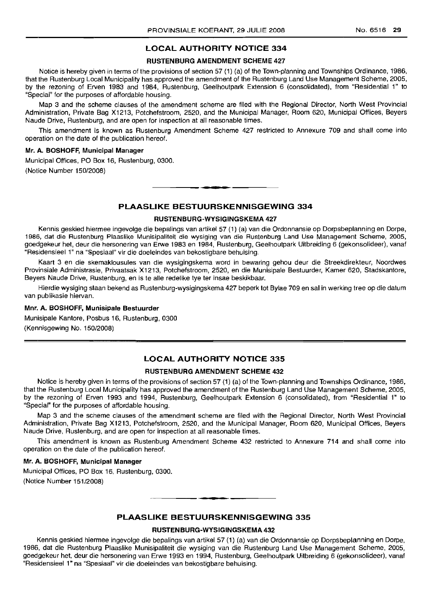# **LOCAL AUTHORITY NOTICE** 334

# RUSTENBLIRG AMENDMENT SCHEME 427

Notice is hereby given in terms of the provisions of section 57 (1) (a) of the Town-planning and Townships Ordinance, 1986, that the Rustenburg Local Municipality has approved the amendment of the Rustenburg Land Use Management Scheme, 2005, by the rezoning of Erven 1983 and 1984, Rustenburg, Geelhoutpark Extension 6 (consolidated), from "Residential 1" to "Special" for the purposes of affordable housing.

Map 3 and the scheme clauses of the amendment scheme are filed with the Regional Director, North West Provincial Administration, Private Bag X1213, Potchefstroom, 2520, and the Municipal Manager, Room 620, Municipal Offices, Beyers Naude Drive, Rustenburg, and are open for inspection at all reasonable times.

This amendment is known as Rustenburg Amendment Scheme 427 restricted to Annexure 709 and shall come into operation on the date of the publication hereof.

### Mr. A. BOSHOFF, Municipal Manager

Municipal Offices, PO Box 16, Rustenburg, 0300. (Notice Number 150/2008)

# **PLAASLIKE BESTUURSKENNISGEWING** 334

**E.**

#### RUSTENBURG-WYSIGINGSKEMA 427

Kennis geskied hiermee ingevolge die bepalings van artikel 57 (1) (a) van die Ordonnansie op Dorpsbeplanning en Dorpe, 1986, dat die Rustenburg Plaaslike Munisipaliteit die wysiging van die Rustenburg Land Use Management Scheme, 2005, goedgekeur het, deur die hersonering van Erwe 1983 en 1984, Rustenburg, Geelhoutpark Uitbreiding 6 (gekonsolideer), vanaf "Residensieel 1" na "Spesiaal" vir die doeleindes van bekostigbare behuising.

Kaart 3 en die skemaklousules van die wysigingskema word in bewaring gehou deur die Streekdirekteur, Noordwes Provinsiale Administrasie, Privaatsak X1213, Potchefstroom, 2520, en die Munisipale Bestuurder, Kamer 620, Stadskantore, Beyers Naude Drive, Rustenburg, en is te aile redelike tye ter insae beskikbaar.

Hierdie wysiging staan bekend as Rustenburg-wysigingskema 427 beperk tot Bylae 709 en sal in werking tree op die datum van publikasie hiervan.

#### Mm. A. BOSHOFF, Munisipale Bestuurder

Munisipale Kantore, Posbus 16, Rustenburg, 0300 (Kennisgewing No. 150/2008)

# **LOCAL AUTHORITY NOTICE** 335

# RUSTENBURG AMENDMENT SCHEME 432

Notice is hereby given in terms of the provisions of section 57 (1) (a) of the Town-planning and Townships Ordinance, 1986, that the Rustenburg Local Municipality has approved the amendment of the Rustenburg Land Use Management Scheme, 2005, by the rezoning of Erven 1993 and 1994, Rustenburg, Geelhoutpark Extension 6 (consolidated), from "Residential 1" to "Special" for the purposes of affordable housing.

Map 3 and the scheme clauses of the amendment scheme are filed with the Regional Director, North West Provincial Administration, Private Bag X1213, Potchefstroom, 2520, and the Municipal Manager, Room 620, Municipal Offices, Beyers Naude Drive, Rustenburg, and are open for inspection at all reasonable times.

This amendment is known as Rustenburg Amendment Scheme 432 restricted to Annexure 714 and shall come into operation on the date of the publication hereof.

#### Mr. A. BOSHOFF, Municipal Manager

Municipal Offices, PO Box 16, Rustenburg, 0300. (Notice Number 151/2008)

# **PLAASLIKE BESTUURSKENNISGEWING** 335

# RUSTENBURG-WYSIGINGSKEMA 432

Kennis geskied hiermee ingevolge die bepalings van artikel 57 (1) (a) van die Ordonnansie op Dorpsbeplanning en Dorpe, 1986, dat die Rustenburg Plaaslike Munisipaliteit die wysiging van die Rustenburg Land Use Management Scheme, 2005, goedgekeur het, deur die hersonering van Erwe 1993 en 1994, Rustenburg, Geelhoutpark Uitbreiding 6 (gekonsolideer), vanaf "Residensieel 1" na "Spesiaal" vir die doeleindes van bekostigbare behuising.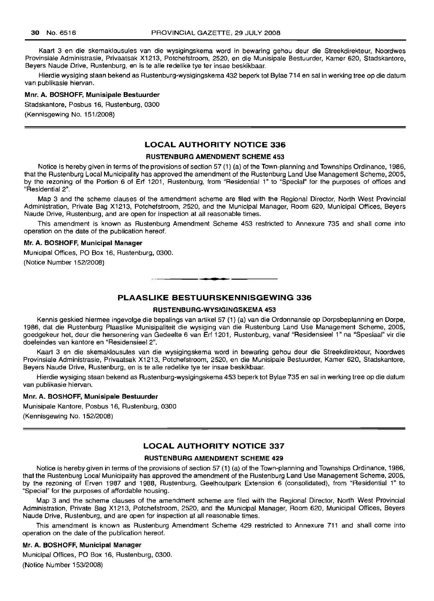Kaart 3 en die skemaklousules van die wysigingskema word in bewaring gehou deur die Streekdirekteur, Noordwes Provinsiale Administrasie, Privaatsak X1213, Potchefstroom, 2520, en die Munisipale Bestuurder, Kamer 620, Stadskantore, Beyers Naude Drive, Rustenburg, en is te aile redelike tye ter insae beskikbaar.

Hierdie wysiging staan bekend as Rustenburg-wysigingskema 432 beperk tot Bylae 714 en sal in werking tree op die datum van publikasie hiervan.

#### Mm. A. BOSHOFF, Munisipale Bestuurder

Stadskantore, Posbus 16, Rustenburg, 0300 (Kennisgewing No. 151/2008)

# **LOCAL AUTHORITY NOTICE** 336

#### RUSTENBURG AMENDMENT SCHEME 453

Notice is hereby given in terms of the provisions of section 57 (1) (a) of the Town-planning and Townships Ordinance, 1986, that the Rustenburg Local Municipality has approved the amendment of the Rustenburg Land Use Management Scheme, 2005, by the rezoning of the Portion 6 of Erf 1201, Rustenburg, from "Residential 1" to "Special" for the purposes of offices and "Residential 2".

Map 3 and the scheme clauses of the amendment scheme are filed with the Regional Director, North West Provincial Administration, Private Bag X1213, Potchefstroom, 2520, and the Municipal Manager, Room 620, Municipal Offices, Beyers Naude Drive, Rustenburg, and are open for inspection at all reasonable times.

This amendment is known as Rustenburg Amendment Scheme 453 restricted to Annexure 735 and shall come into operation on the date of the publication hereof.

#### Mr. A. BOSHOFF, Municipal Manager

Municipal Offices, PO Box 16, Rustenburg, 0300. (Notice Number 152/2008)

# **PLAASLIKE BESTUURSKENNISGEWING** 336

E **\_ •**

#### RUSTENBURG-WYSIGINGSKEMA 453

Kennis geskied hiermee ingevolge die bepalings van artikel 57 (1) (a) van die Ordonnansie op Dorpsbeplanning en Dorpe, 1986, dat die Rustenburg Plaaslike Munisipaliteit die wysiging van die Rustenburg Land Use Management Scheme, 2005, goedgekeur het, deur die hersonering van Gedeelte 6 van Erf 1201, Rustenburg, vanaf "Residensieel 1" na "Spesiaal" vir die doeleindes van kantore en "Residensieel 2".

Kaart 3 en die skemaklousules van die wysigingskema word in bewaring gehou deur die Streekdirekteur, Noordwes Provinsiale Administrasie, Privaatsak X1213, Potchefstroom, 2520, en die Munisipale Bestuurder, Kamer 620, Stadskantore, Beyers Naude Drive, Rustenburg, en is te aile redelike tye ter insae beskikbaar.

Hierdie wysiging staan bekend as Rustenburg-wysigingskema 453 beperk tot Bylae 735 en sal in werking tree op die datum van publikasie hiervan.

#### Mm. A. BOSHOFF, Munisipale Bestuurder

Munisipale Kantore, Posbus 16, Rustenburg, 0300 (Kennisgewing No. 152/2008)

# **LOCAL AUTHORITY NOTICE** 337

#### RUSTENBLIRG AMENDMENT SCHEME 429

Notice is hereby given in terms of the provisions of section 57 (1) (a) of the Town-planning and Townships Ordinance, 1986, that the Rustenburg Local Municipality has approved the amendment of the Rustenburg Land Use Management Scheme, 2005, by the rezoning of Erven 1987 and 1988, Rustenburg, Geelhoutpark Extension 6 (consolidated), from "Residential 1" to "Special" for the purposes of affordable housing.

Map 3 and the scheme clauses of the amendment scheme are filed with the Regional Director, North West Provincial Administration, Private Bag X1213, Potchefstroom, 2520, and the Municipal Manager, Room 620, Municipal Offices, Beyers Naude Drive, Rustenburg, and are open for inspection at all reasonable times.

This amendment is known as Rustenburg Amendment Scheme 429 restricted to Annexure 711 and shall come into operation on the date of the publication hereof.

#### Mr. A. BOSHOFF, Municipal Manager

Municipal Offices, PO Box 16, Rustenburg, 0300. (Notice Number 153/2008)